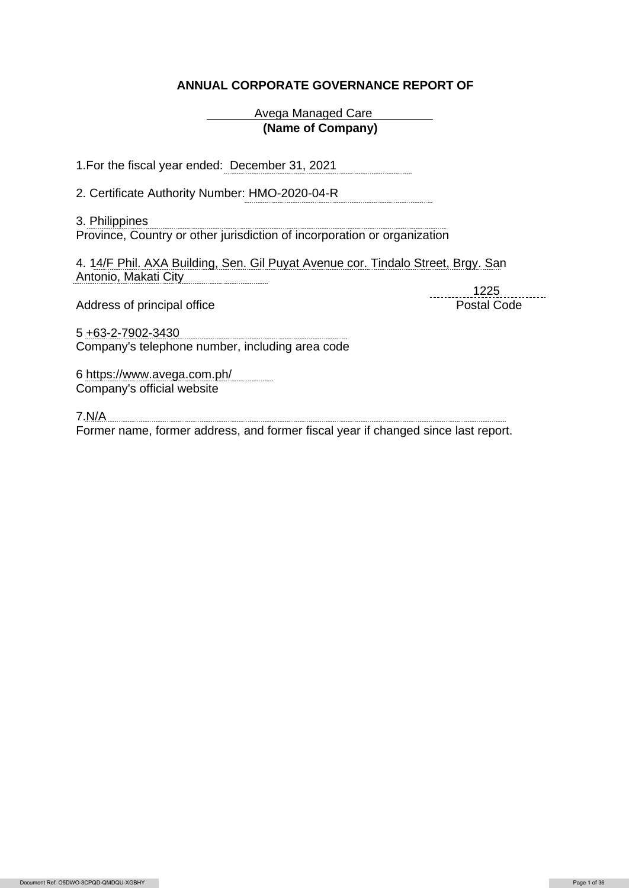## **ANNUAL CORPORATE GOVERNANCE REPORT OF**

Avega Managed Care **(Name of Company)**

1.For the fiscal year ended: December 31, 2021

2. Certificate Authority Number: HMO-2020-04-R

3. Philippines Province, Country or other jurisdiction of incorporation or organization

4. 14/F Phil. AXA Building, Sen. Gil Puyat Avenue cor. Tindalo Street, Brgy. San Antonio, Makati City

Address of principal office **Postal Code** Postal Code

1225

5 +63-2-7902-3430 Company's telephone number, including area code

6 https://www.avega.com.ph/ Company's official website

7.N/A Former name, former address, and former fiscal year if changed since last report.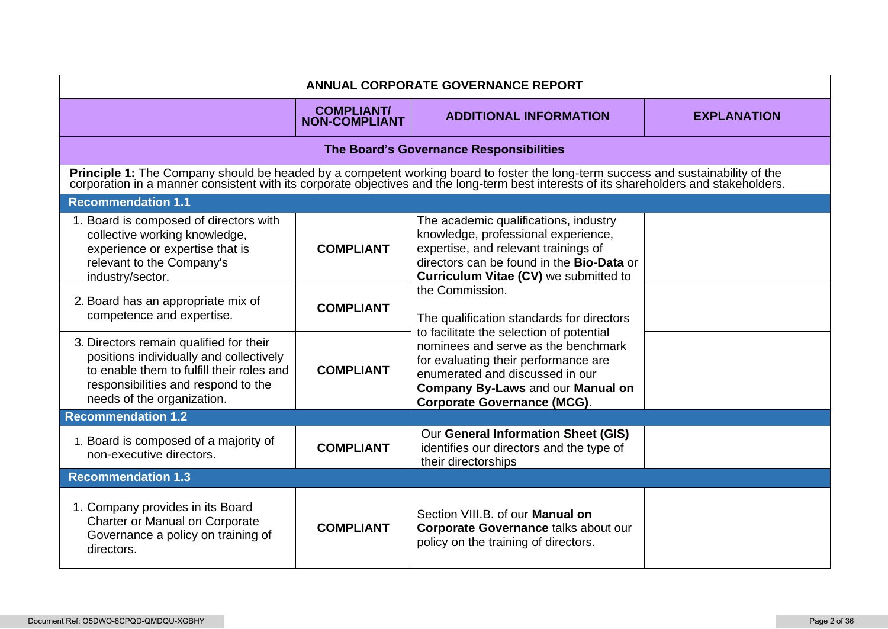| <b>ANNUAL CORPORATE GOVERNANCE REPORT</b>                                                                                                                                                                                      |                                           |                                                                                                                                                                                                                                                                                                       |                    |  |
|--------------------------------------------------------------------------------------------------------------------------------------------------------------------------------------------------------------------------------|-------------------------------------------|-------------------------------------------------------------------------------------------------------------------------------------------------------------------------------------------------------------------------------------------------------------------------------------------------------|--------------------|--|
|                                                                                                                                                                                                                                | <b>COMPLIANT/</b><br><b>NON-COMPLIANT</b> | <b>ADDITIONAL INFORMATION</b>                                                                                                                                                                                                                                                                         | <b>EXPLANATION</b> |  |
|                                                                                                                                                                                                                                |                                           | The Board's Governance Responsibilities                                                                                                                                                                                                                                                               |                    |  |
| Principle 1: The Company should be headed by a competent working board to foster the long-term success and sustainability of the corporation in a manner consistent with its corporate objectives and the long-term best inter |                                           |                                                                                                                                                                                                                                                                                                       |                    |  |
| <b>Recommendation 1.1</b>                                                                                                                                                                                                      |                                           |                                                                                                                                                                                                                                                                                                       |                    |  |
| 1. Board is composed of directors with<br>collective working knowledge,<br>experience or expertise that is<br>relevant to the Company's<br>industry/sector.                                                                    | <b>COMPLIANT</b>                          | The academic qualifications, industry<br>knowledge, professional experience,<br>expertise, and relevant trainings of<br>directors can be found in the Bio-Data or<br>Curriculum Vitae (CV) we submitted to                                                                                            |                    |  |
| 2. Board has an appropriate mix of<br>competence and expertise.                                                                                                                                                                | <b>COMPLIANT</b>                          | the Commission.<br>The qualification standards for directors<br>to facilitate the selection of potential<br>nominees and serve as the benchmark<br>for evaluating their performance are<br>enumerated and discussed in our<br>Company By-Laws and our Manual on<br><b>Corporate Governance (MCG).</b> |                    |  |
| 3. Directors remain qualified for their<br>positions individually and collectively<br>to enable them to fulfill their roles and<br>responsibilities and respond to the<br>needs of the organization.                           | <b>COMPLIANT</b>                          |                                                                                                                                                                                                                                                                                                       |                    |  |
| <b>Recommendation 1.2</b>                                                                                                                                                                                                      |                                           |                                                                                                                                                                                                                                                                                                       |                    |  |
| 1. Board is composed of a majority of<br>non-executive directors.                                                                                                                                                              | <b>COMPLIANT</b>                          | Our General Information Sheet (GIS)<br>identifies our directors and the type of<br>their directorships                                                                                                                                                                                                |                    |  |
| <b>Recommendation 1.3</b>                                                                                                                                                                                                      |                                           |                                                                                                                                                                                                                                                                                                       |                    |  |
| 1. Company provides in its Board<br>Charter or Manual on Corporate<br>Governance a policy on training of<br>directors.                                                                                                         | <b>COMPLIANT</b>                          | Section VIII.B. of our Manual on<br>Corporate Governance talks about our<br>policy on the training of directors.                                                                                                                                                                                      |                    |  |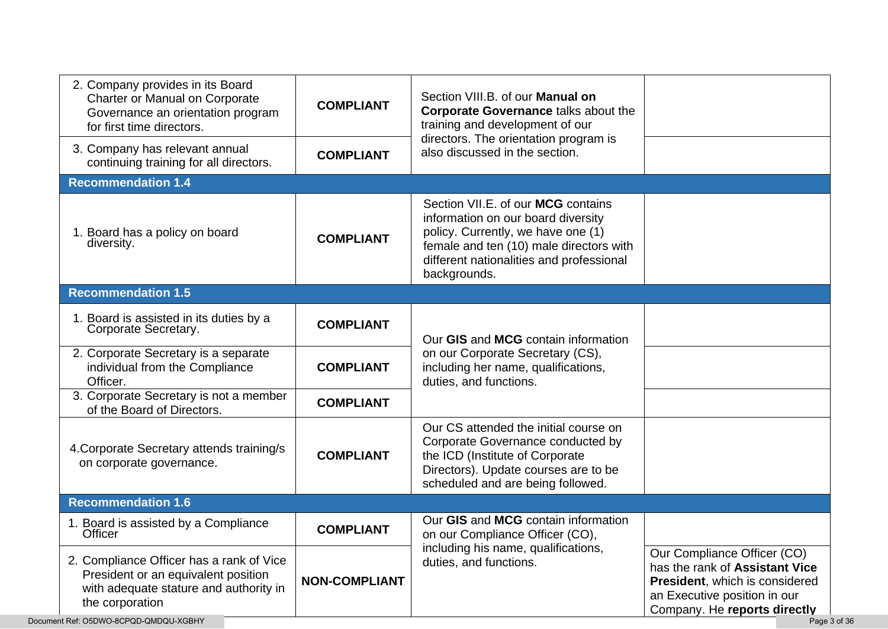| 2. Company provides in its Board<br>Charter or Manual on Corporate<br>Governance an orientation program<br>for first time directors.         | <b>COMPLIANT</b>     | Section VIII.B. of our Manual on<br><b>Corporate Governance talks about the</b><br>training and development of our                                                                                                    |                                                                                                                                                                 |
|----------------------------------------------------------------------------------------------------------------------------------------------|----------------------|-----------------------------------------------------------------------------------------------------------------------------------------------------------------------------------------------------------------------|-----------------------------------------------------------------------------------------------------------------------------------------------------------------|
| 3. Company has relevant annual<br>continuing training for all directors.                                                                     | <b>COMPLIANT</b>     | directors. The orientation program is<br>also discussed in the section.                                                                                                                                               |                                                                                                                                                                 |
| <b>Recommendation 1.4</b>                                                                                                                    |                      |                                                                                                                                                                                                                       |                                                                                                                                                                 |
| 1. Board has a policy on board<br>diversity.                                                                                                 | <b>COMPLIANT</b>     | Section VII.E. of our MCG contains<br>information on our board diversity<br>policy. Currently, we have one (1)<br>female and ten (10) male directors with<br>different nationalities and professional<br>backgrounds. |                                                                                                                                                                 |
| <b>Recommendation 1.5</b>                                                                                                                    |                      |                                                                                                                                                                                                                       |                                                                                                                                                                 |
| 1. Board is assisted in its duties by a<br>Corporate Secretary.                                                                              | <b>COMPLIANT</b>     | Our GIS and MCG contain information                                                                                                                                                                                   |                                                                                                                                                                 |
| 2. Corporate Secretary is a separate<br>individual from the Compliance<br>Officer.                                                           | <b>COMPLIANT</b>     | on our Corporate Secretary (CS),<br>including her name, qualifications,<br>duties, and functions.                                                                                                                     |                                                                                                                                                                 |
| 3. Corporate Secretary is not a member<br>of the Board of Directors.                                                                         | <b>COMPLIANT</b>     |                                                                                                                                                                                                                       |                                                                                                                                                                 |
| 4. Corporate Secretary attends training/s<br>on corporate governance.                                                                        | <b>COMPLIANT</b>     | Our CS attended the initial course on<br>Corporate Governance conducted by<br>the ICD (Institute of Corporate<br>Directors). Update courses are to be<br>scheduled and are being followed.                            |                                                                                                                                                                 |
| <b>Recommendation 1.6</b>                                                                                                                    |                      |                                                                                                                                                                                                                       |                                                                                                                                                                 |
| 1. Board is assisted by a Compliance<br>Officer                                                                                              | <b>COMPLIANT</b>     | Our GIS and MCG contain information<br>on our Compliance Officer (CO),                                                                                                                                                |                                                                                                                                                                 |
| 2. Compliance Officer has a rank of Vice<br>President or an equivalent position<br>with adequate stature and authority in<br>the corporation | <b>NON-COMPLIANT</b> | including his name, qualifications,<br>duties, and functions.                                                                                                                                                         | Our Compliance Officer (CO)<br>has the rank of Assistant Vice<br>President, which is considered<br>an Executive position in our<br>Company. He reports directly |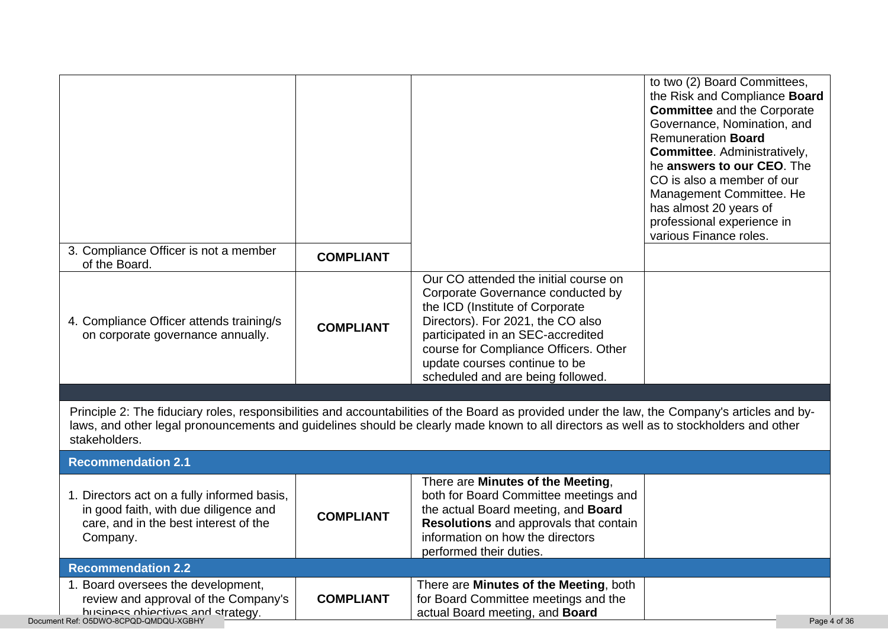| 3. Compliance Officer is not a member<br>of the Board.                               | <b>COMPLIANT</b> |                                                                                                                                                                                                                                                                                          | to two (2) Board Committees,<br>the Risk and Compliance Board<br><b>Committee</b> and the Corporate<br>Governance, Nomination, and<br><b>Remuneration Board</b><br>Committee. Administratively,<br>he answers to our CEO. The<br>CO is also a member of our<br>Management Committee. He<br>has almost 20 years of<br>professional experience in<br>various Finance roles. |
|--------------------------------------------------------------------------------------|------------------|------------------------------------------------------------------------------------------------------------------------------------------------------------------------------------------------------------------------------------------------------------------------------------------|---------------------------------------------------------------------------------------------------------------------------------------------------------------------------------------------------------------------------------------------------------------------------------------------------------------------------------------------------------------------------|
|                                                                                      |                  | Our CO attended the initial course on                                                                                                                                                                                                                                                    |                                                                                                                                                                                                                                                                                                                                                                           |
| 4. Compliance Officer attends training/s<br>on corporate governance annually.        | <b>COMPLIANT</b> | Corporate Governance conducted by<br>the ICD (Institute of Corporate<br>Directors). For 2021, the CO also<br>participated in an SEC-accredited<br>course for Compliance Officers. Other<br>update courses continue to be<br>scheduled and are being followed.                            |                                                                                                                                                                                                                                                                                                                                                                           |
|                                                                                      |                  |                                                                                                                                                                                                                                                                                          |                                                                                                                                                                                                                                                                                                                                                                           |
| stakeholders.<br><b>Recommendation 2.1</b>                                           |                  | Principle 2: The fiduciary roles, responsibilities and accountabilities of the Board as provided under the law, the Company's articles and by-<br>laws, and other legal pronouncements and guidelines should be clearly made known to all directors as well as to stockholders and other |                                                                                                                                                                                                                                                                                                                                                                           |
| 1. Directors act on a fully informed basis,<br>in good faith, with due diligence and | <b>COMPLIANT</b> | There are Minutes of the Meeting,<br>both for Board Committee meetings and<br>the actual Board meeting, and Board<br>Resolutions and approvals that contain                                                                                                                              |                                                                                                                                                                                                                                                                                                                                                                           |
| care, and in the best interest of the<br>Company.                                    |                  | information on how the directors<br>performed their duties.                                                                                                                                                                                                                              |                                                                                                                                                                                                                                                                                                                                                                           |
| <b>Recommendation 2.2</b>                                                            |                  |                                                                                                                                                                                                                                                                                          |                                                                                                                                                                                                                                                                                                                                                                           |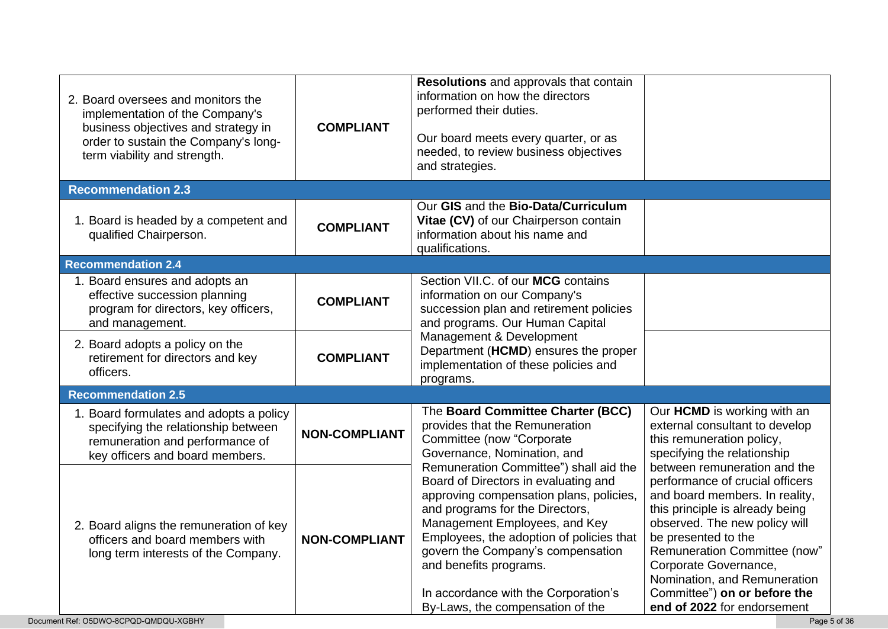| 2. Board oversees and monitors the<br>implementation of the Company's<br>business objectives and strategy in                                         | <b>COMPLIANT</b>     | Resolutions and approvals that contain<br>information on how the directors<br>performed their duties.                                                                                                                                                                                                                                                                                |                                                                                                                                                                                                                                                                                                                      |
|------------------------------------------------------------------------------------------------------------------------------------------------------|----------------------|--------------------------------------------------------------------------------------------------------------------------------------------------------------------------------------------------------------------------------------------------------------------------------------------------------------------------------------------------------------------------------------|----------------------------------------------------------------------------------------------------------------------------------------------------------------------------------------------------------------------------------------------------------------------------------------------------------------------|
| order to sustain the Company's long-<br>term viability and strength.                                                                                 |                      | Our board meets every quarter, or as<br>needed, to review business objectives<br>and strategies.                                                                                                                                                                                                                                                                                     |                                                                                                                                                                                                                                                                                                                      |
| <b>Recommendation 2.3</b>                                                                                                                            |                      |                                                                                                                                                                                                                                                                                                                                                                                      |                                                                                                                                                                                                                                                                                                                      |
| 1. Board is headed by a competent and<br>qualified Chairperson.                                                                                      | <b>COMPLIANT</b>     | Our GIS and the Bio-Data/Curriculum<br>Vitae (CV) of our Chairperson contain<br>information about his name and<br>qualifications.                                                                                                                                                                                                                                                    |                                                                                                                                                                                                                                                                                                                      |
| <b>Recommendation 2.4</b>                                                                                                                            |                      |                                                                                                                                                                                                                                                                                                                                                                                      |                                                                                                                                                                                                                                                                                                                      |
| 1. Board ensures and adopts an<br>effective succession planning<br>program for directors, key officers,<br>and management.                           | <b>COMPLIANT</b>     | Section VII.C. of our MCG contains<br>information on our Company's<br>succession plan and retirement policies<br>and programs. Our Human Capital                                                                                                                                                                                                                                     |                                                                                                                                                                                                                                                                                                                      |
| 2. Board adopts a policy on the<br>retirement for directors and key<br>officers.                                                                     | <b>COMPLIANT</b>     | Management & Development<br>Department (HCMD) ensures the proper<br>implementation of these policies and<br>programs.                                                                                                                                                                                                                                                                |                                                                                                                                                                                                                                                                                                                      |
| <b>Recommendation 2.5</b>                                                                                                                            |                      |                                                                                                                                                                                                                                                                                                                                                                                      |                                                                                                                                                                                                                                                                                                                      |
| 1. Board formulates and adopts a policy<br>specifying the relationship between<br>remuneration and performance of<br>key officers and board members. | <b>NON-COMPLIANT</b> | The Board Committee Charter (BCC)<br>provides that the Remuneration<br>Committee (now "Corporate<br>Governance, Nomination, and                                                                                                                                                                                                                                                      | Our HCMD is working with an<br>external consultant to develop<br>this remuneration policy,<br>specifying the relationship<br>between remuneration and the                                                                                                                                                            |
| 2. Board aligns the remuneration of key<br>officers and board members with<br>long term interests of the Company.                                    | <b>NON-COMPLIANT</b> | Remuneration Committee") shall aid the<br>Board of Directors in evaluating and<br>approving compensation plans, policies,<br>and programs for the Directors,<br>Management Employees, and Key<br>Employees, the adoption of policies that<br>govern the Company's compensation<br>and benefits programs.<br>In accordance with the Corporation's<br>By-Laws, the compensation of the | performance of crucial officers<br>and board members. In reality,<br>this principle is already being<br>observed. The new policy will<br>be presented to the<br>Remuneration Committee (now"<br>Corporate Governance,<br>Nomination, and Remuneration<br>Committee") on or before the<br>end of 2022 for endorsement |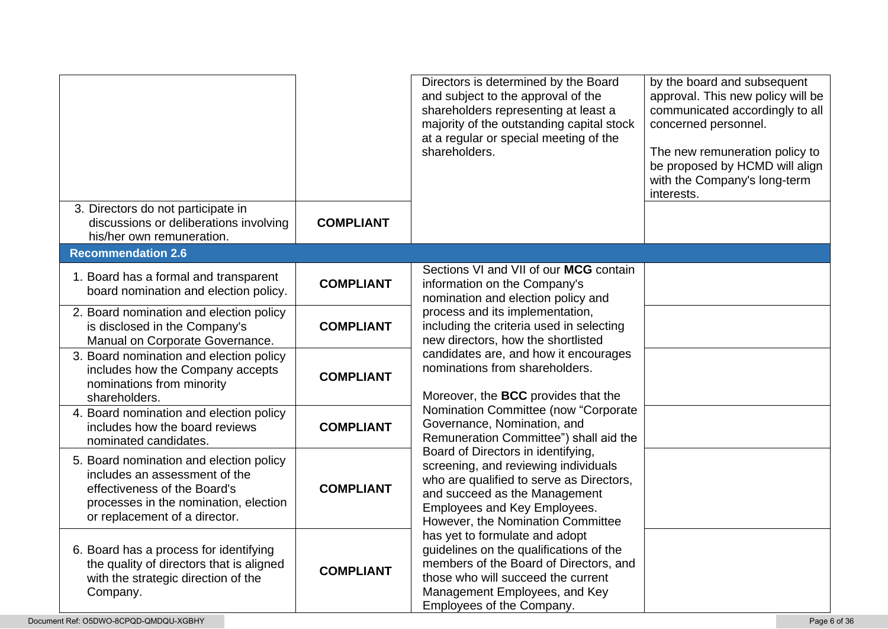|                                                                                                                                                                                    |                  | Directors is determined by the Board<br>and subject to the approval of the<br>shareholders representing at least a<br>majority of the outstanding capital stock<br>at a regular or special meeting of the<br>shareholders.                                                                                                                                                                                                                                      | by the board and subsequent<br>approval. This new policy will be<br>communicated accordingly to all<br>concerned personnel.<br>The new remuneration policy to<br>be proposed by HCMD will align<br>with the Company's long-term<br>interests. |
|------------------------------------------------------------------------------------------------------------------------------------------------------------------------------------|------------------|-----------------------------------------------------------------------------------------------------------------------------------------------------------------------------------------------------------------------------------------------------------------------------------------------------------------------------------------------------------------------------------------------------------------------------------------------------------------|-----------------------------------------------------------------------------------------------------------------------------------------------------------------------------------------------------------------------------------------------|
| 3. Directors do not participate in<br>discussions or deliberations involving<br>his/her own remuneration.                                                                          | <b>COMPLIANT</b> |                                                                                                                                                                                                                                                                                                                                                                                                                                                                 |                                                                                                                                                                                                                                               |
| <b>Recommendation 2.6</b>                                                                                                                                                          |                  |                                                                                                                                                                                                                                                                                                                                                                                                                                                                 |                                                                                                                                                                                                                                               |
| 1. Board has a formal and transparent<br>board nomination and election policy.                                                                                                     | <b>COMPLIANT</b> | Sections VI and VII of our MCG contain<br>information on the Company's<br>nomination and election policy and                                                                                                                                                                                                                                                                                                                                                    |                                                                                                                                                                                                                                               |
| 2. Board nomination and election policy<br>is disclosed in the Company's<br>Manual on Corporate Governance.                                                                        | <b>COMPLIANT</b> | process and its implementation,<br>including the criteria used in selecting<br>new directors, how the shortlisted                                                                                                                                                                                                                                                                                                                                               |                                                                                                                                                                                                                                               |
| 3. Board nomination and election policy<br>includes how the Company accepts<br>nominations from minority<br>shareholders.                                                          | <b>COMPLIANT</b> | candidates are, and how it encourages<br>nominations from shareholders.<br>Moreover, the BCC provides that the<br>Nomination Committee (now "Corporate<br>Governance, Nomination, and<br>Remuneration Committee") shall aid the<br>Board of Directors in identifying,<br>screening, and reviewing individuals<br>who are qualified to serve as Directors,<br>and succeed as the Management<br>Employees and Key Employees.<br>However, the Nomination Committee |                                                                                                                                                                                                                                               |
| 4. Board nomination and election policy<br>includes how the board reviews<br>nominated candidates.                                                                                 | <b>COMPLIANT</b> |                                                                                                                                                                                                                                                                                                                                                                                                                                                                 |                                                                                                                                                                                                                                               |
| 5. Board nomination and election policy<br>includes an assessment of the<br>effectiveness of the Board's<br>processes in the nomination, election<br>or replacement of a director. | <b>COMPLIANT</b> |                                                                                                                                                                                                                                                                                                                                                                                                                                                                 |                                                                                                                                                                                                                                               |
| 6. Board has a process for identifying<br>the quality of directors that is aligned<br>with the strategic direction of the<br>Company.                                              | <b>COMPLIANT</b> | has yet to formulate and adopt<br>guidelines on the qualifications of the<br>members of the Board of Directors, and<br>those who will succeed the current<br>Management Employees, and Key<br>Employees of the Company.                                                                                                                                                                                                                                         |                                                                                                                                                                                                                                               |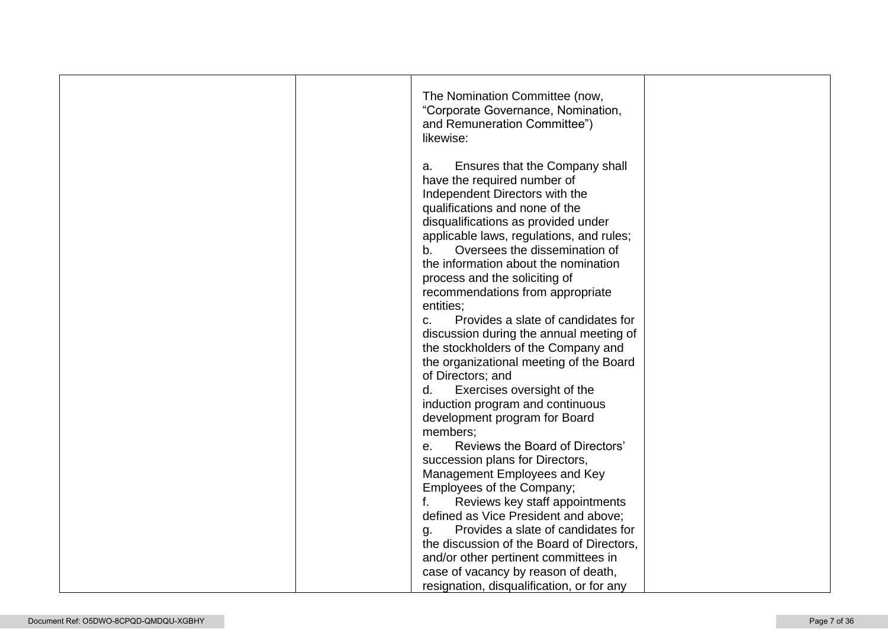|  | The Nomination Committee (now,<br>"Corporate Governance, Nomination,<br>and Remuneration Committee")<br>likewise:                                                                                                                                                                                                                                                                                                                                                                                                                                                                                                                                                                                                                                                                                                          |  |
|--|----------------------------------------------------------------------------------------------------------------------------------------------------------------------------------------------------------------------------------------------------------------------------------------------------------------------------------------------------------------------------------------------------------------------------------------------------------------------------------------------------------------------------------------------------------------------------------------------------------------------------------------------------------------------------------------------------------------------------------------------------------------------------------------------------------------------------|--|
|  | Ensures that the Company shall<br>a.<br>have the required number of<br>Independent Directors with the<br>qualifications and none of the<br>disqualifications as provided under<br>applicable laws, regulations, and rules;<br>Oversees the dissemination of<br>b.<br>the information about the nomination<br>process and the soliciting of<br>recommendations from appropriate<br>entities;<br>Provides a slate of candidates for<br>C.<br>discussion during the annual meeting of<br>the stockholders of the Company and<br>the organizational meeting of the Board<br>of Directors; and<br>d.<br>Exercises oversight of the<br>induction program and continuous<br>development program for Board<br>members;<br>Reviews the Board of Directors'<br>е.<br>succession plans for Directors,<br>Management Employees and Key |  |
|  | Employees of the Company;<br>f.<br>Reviews key staff appointments<br>defined as Vice President and above;                                                                                                                                                                                                                                                                                                                                                                                                                                                                                                                                                                                                                                                                                                                  |  |
|  | Provides a slate of candidates for<br>g.<br>the discussion of the Board of Directors,<br>and/or other pertinent committees in<br>case of vacancy by reason of death,                                                                                                                                                                                                                                                                                                                                                                                                                                                                                                                                                                                                                                                       |  |
|  | resignation, disqualification, or for any                                                                                                                                                                                                                                                                                                                                                                                                                                                                                                                                                                                                                                                                                                                                                                                  |  |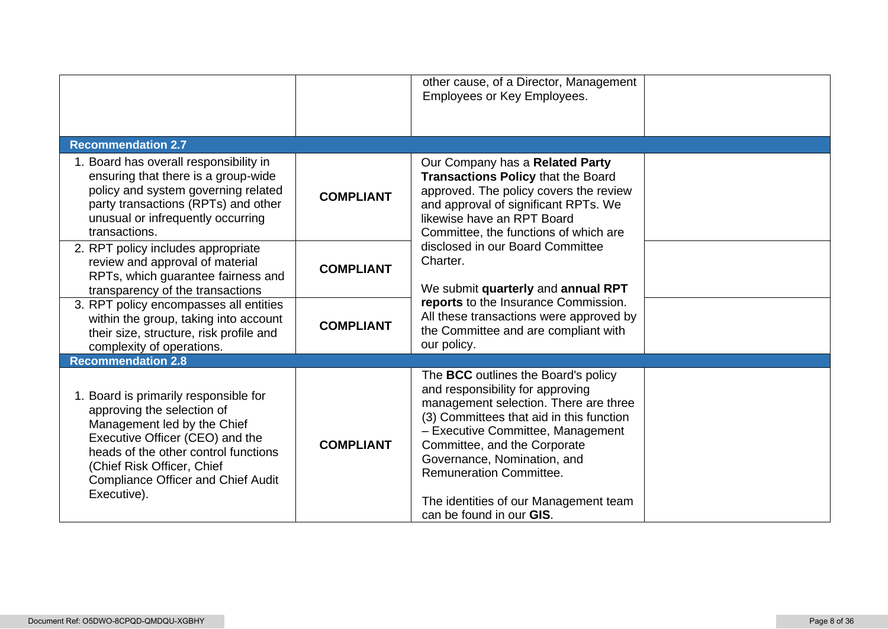|                                                                                                                                                                                                                                                                         |                  | other cause, of a Director, Management<br>Employees or Key Employees.                                                                                                                                                                                                                                                                                                                                                                                          |  |
|-------------------------------------------------------------------------------------------------------------------------------------------------------------------------------------------------------------------------------------------------------------------------|------------------|----------------------------------------------------------------------------------------------------------------------------------------------------------------------------------------------------------------------------------------------------------------------------------------------------------------------------------------------------------------------------------------------------------------------------------------------------------------|--|
| <b>Recommendation 2.7</b>                                                                                                                                                                                                                                               |                  |                                                                                                                                                                                                                                                                                                                                                                                                                                                                |  |
| 1. Board has overall responsibility in<br>ensuring that there is a group-wide<br>policy and system governing related<br>party transactions (RPTs) and other<br>unusual or infrequently occurring<br>transactions.                                                       | <b>COMPLIANT</b> | Our Company has a Related Party<br>Transactions Policy that the Board<br>approved. The policy covers the review<br>and approval of significant RPTs. We<br>likewise have an RPT Board<br>Committee, the functions of which are<br>disclosed in our Board Committee<br>Charter.<br>We submit quarterly and annual RPT<br>reports to the Insurance Commission.<br>All these transactions were approved by<br>the Committee and are compliant with<br>our policy. |  |
| 2. RPT policy includes appropriate<br>review and approval of material<br>RPTs, which guarantee fairness and<br>transparency of the transactions                                                                                                                         | <b>COMPLIANT</b> |                                                                                                                                                                                                                                                                                                                                                                                                                                                                |  |
| 3. RPT policy encompasses all entities<br>within the group, taking into account<br>their size, structure, risk profile and<br>complexity of operations.                                                                                                                 | <b>COMPLIANT</b> |                                                                                                                                                                                                                                                                                                                                                                                                                                                                |  |
| <b>Recommendation 2.8</b>                                                                                                                                                                                                                                               |                  |                                                                                                                                                                                                                                                                                                                                                                                                                                                                |  |
| 1. Board is primarily responsible for<br>approving the selection of<br>Management led by the Chief<br>Executive Officer (CEO) and the<br>heads of the other control functions<br>(Chief Risk Officer, Chief<br><b>Compliance Officer and Chief Audit</b><br>Executive). | <b>COMPLIANT</b> | The BCC outlines the Board's policy<br>and responsibility for approving<br>management selection. There are three<br>(3) Committees that aid in this function<br>- Executive Committee, Management<br>Committee, and the Corporate<br>Governance, Nomination, and<br><b>Remuneration Committee.</b><br>The identities of our Management team<br>can be found in our GIS.                                                                                        |  |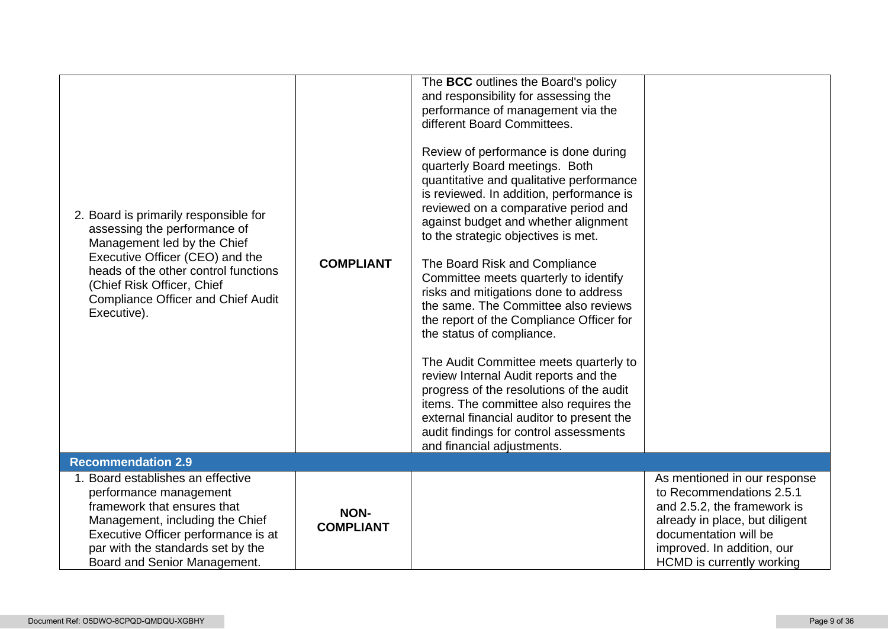| 2. Board is primarily responsible for<br>assessing the performance of<br>Management led by the Chief<br>Executive Officer (CEO) and the<br>heads of the other control functions<br>(Chief Risk Officer, Chief<br><b>Compliance Officer and Chief Audit</b><br>Executive). | <b>COMPLIANT</b>                | The BCC outlines the Board's policy<br>and responsibility for assessing the<br>performance of management via the<br>different Board Committees.<br>Review of performance is done during<br>quarterly Board meetings. Both<br>quantitative and qualitative performance<br>is reviewed. In addition, performance is<br>reviewed on a comparative period and<br>against budget and whether alignment<br>to the strategic objectives is met.<br>The Board Risk and Compliance<br>Committee meets quarterly to identify<br>risks and mitigations done to address<br>the same. The Committee also reviews<br>the report of the Compliance Officer for<br>the status of compliance.<br>The Audit Committee meets quarterly to<br>review Internal Audit reports and the<br>progress of the resolutions of the audit<br>items. The committee also requires the<br>external financial auditor to present the<br>audit findings for control assessments<br>and financial adjustments. |                                                                                                                                                                                                               |
|---------------------------------------------------------------------------------------------------------------------------------------------------------------------------------------------------------------------------------------------------------------------------|---------------------------------|----------------------------------------------------------------------------------------------------------------------------------------------------------------------------------------------------------------------------------------------------------------------------------------------------------------------------------------------------------------------------------------------------------------------------------------------------------------------------------------------------------------------------------------------------------------------------------------------------------------------------------------------------------------------------------------------------------------------------------------------------------------------------------------------------------------------------------------------------------------------------------------------------------------------------------------------------------------------------|---------------------------------------------------------------------------------------------------------------------------------------------------------------------------------------------------------------|
| <b>Recommendation 2.9</b>                                                                                                                                                                                                                                                 |                                 |                                                                                                                                                                                                                                                                                                                                                                                                                                                                                                                                                                                                                                                                                                                                                                                                                                                                                                                                                                            |                                                                                                                                                                                                               |
| 1. Board establishes an effective<br>performance management<br>framework that ensures that<br>Management, including the Chief<br>Executive Officer performance is at<br>par with the standards set by the<br>Board and Senior Management.                                 | <b>NON-</b><br><b>COMPLIANT</b> |                                                                                                                                                                                                                                                                                                                                                                                                                                                                                                                                                                                                                                                                                                                                                                                                                                                                                                                                                                            | As mentioned in our response<br>to Recommendations 2.5.1<br>and 2.5.2, the framework is<br>already in place, but diligent<br>documentation will be<br>improved. In addition, our<br>HCMD is currently working |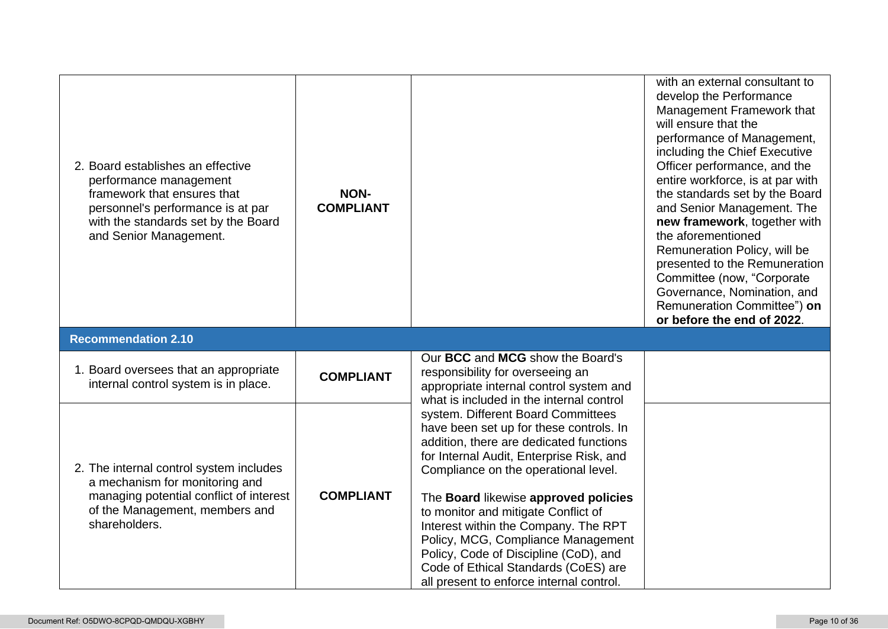| 2. Board establishes an effective<br>performance management<br>framework that ensures that<br>personnel's performance is at par<br>with the standards set by the Board<br>and Senior Management. | <b>NON-</b><br><b>COMPLIANT</b> |                                                                                                                                                                                                                                                                                                                                                                                                                                                                                                        | with an external consultant to<br>develop the Performance<br>Management Framework that<br>will ensure that the<br>performance of Management,<br>including the Chief Executive<br>Officer performance, and the<br>entire workforce, is at par with<br>the standards set by the Board<br>and Senior Management. The<br>new framework, together with<br>the aforementioned<br>Remuneration Policy, will be<br>presented to the Remuneration<br>Committee (now, "Corporate<br>Governance, Nomination, and<br>Remuneration Committee") on<br>or before the end of 2022. |
|--------------------------------------------------------------------------------------------------------------------------------------------------------------------------------------------------|---------------------------------|--------------------------------------------------------------------------------------------------------------------------------------------------------------------------------------------------------------------------------------------------------------------------------------------------------------------------------------------------------------------------------------------------------------------------------------------------------------------------------------------------------|--------------------------------------------------------------------------------------------------------------------------------------------------------------------------------------------------------------------------------------------------------------------------------------------------------------------------------------------------------------------------------------------------------------------------------------------------------------------------------------------------------------------------------------------------------------------|
| <b>Recommendation 2.10</b>                                                                                                                                                                       |                                 |                                                                                                                                                                                                                                                                                                                                                                                                                                                                                                        |                                                                                                                                                                                                                                                                                                                                                                                                                                                                                                                                                                    |
| 1. Board oversees that an appropriate<br>internal control system is in place.                                                                                                                    | <b>COMPLIANT</b>                | Our BCC and MCG show the Board's<br>responsibility for overseeing an<br>appropriate internal control system and<br>what is included in the internal control                                                                                                                                                                                                                                                                                                                                            |                                                                                                                                                                                                                                                                                                                                                                                                                                                                                                                                                                    |
| 2. The internal control system includes<br>a mechanism for monitoring and<br>managing potential conflict of interest<br>of the Management, members and<br>shareholders.                          | <b>COMPLIANT</b>                | system. Different Board Committees<br>have been set up for these controls. In<br>addition, there are dedicated functions<br>for Internal Audit, Enterprise Risk, and<br>Compliance on the operational level.<br>The Board likewise approved policies<br>to monitor and mitigate Conflict of<br>Interest within the Company. The RPT<br>Policy, MCG, Compliance Management<br>Policy, Code of Discipline (CoD), and<br>Code of Ethical Standards (CoES) are<br>all present to enforce internal control. |                                                                                                                                                                                                                                                                                                                                                                                                                                                                                                                                                                    |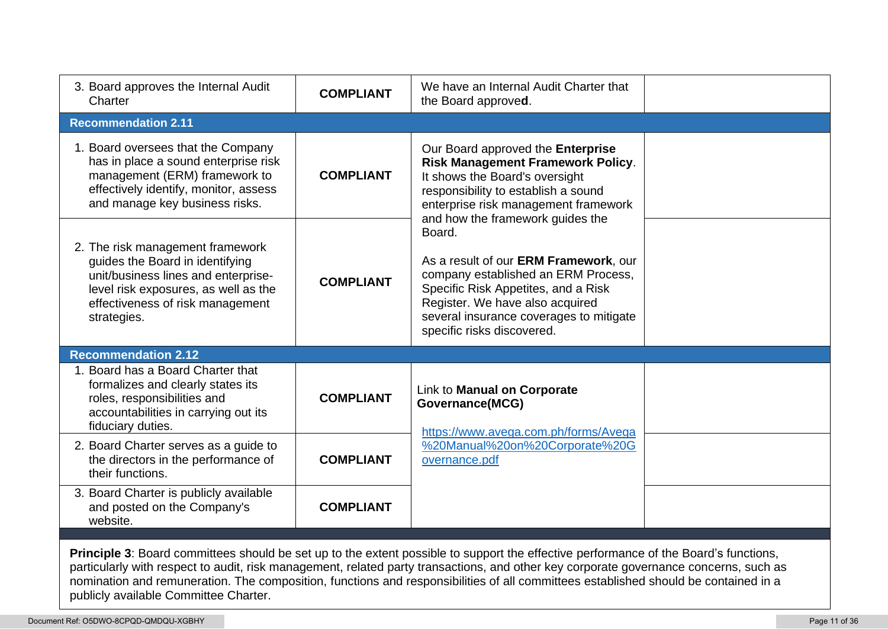| 3. Board approves the Internal Audit<br>Charter                                                                                                                                                       | <b>COMPLIANT</b> | We have an Internal Audit Charter that<br>the Board approved.                                                                                                                                                                             |
|-------------------------------------------------------------------------------------------------------------------------------------------------------------------------------------------------------|------------------|-------------------------------------------------------------------------------------------------------------------------------------------------------------------------------------------------------------------------------------------|
| <b>Recommendation 2.11</b>                                                                                                                                                                            |                  |                                                                                                                                                                                                                                           |
| 1. Board oversees that the Company<br>has in place a sound enterprise risk<br>management (ERM) framework to<br>effectively identify, monitor, assess<br>and manage key business risks.                | <b>COMPLIANT</b> | Our Board approved the Enterprise<br>Risk Management Framework Policy.<br>It shows the Board's oversight<br>responsibility to establish a sound<br>enterprise risk management framework<br>and how the framework guides the               |
| 2. The risk management framework<br>guides the Board in identifying<br>unit/business lines and enterprise-<br>level risk exposures, as well as the<br>effectiveness of risk management<br>strategies. | <b>COMPLIANT</b> | Board.<br>As a result of our ERM Framework, our<br>company established an ERM Process,<br>Specific Risk Appetites, and a Risk<br>Register. We have also acquired<br>several insurance coverages to mitigate<br>specific risks discovered. |
| <b>Recommendation 2.12</b>                                                                                                                                                                            |                  |                                                                                                                                                                                                                                           |
| 1. Board has a Board Charter that<br>formalizes and clearly states its<br>roles, responsibilities and<br>accountabilities in carrying out its<br>fiduciary duties.                                    | <b>COMPLIANT</b> | Link to Manual on Corporate<br><b>Governance(MCG)</b><br>https://www.avega.com.ph/forms/Avega                                                                                                                                             |
| 2. Board Charter serves as a guide to<br>the directors in the performance of<br>their functions.                                                                                                      | <b>COMPLIANT</b> | %20Manual%20on%20Corporate%20G<br>overnance.pdf                                                                                                                                                                                           |
| 3. Board Charter is publicly available<br>and posted on the Company's                                                                                                                                 | <b>COMPLIANT</b> |                                                                                                                                                                                                                                           |
| website.                                                                                                                                                                                              |                  |                                                                                                                                                                                                                                           |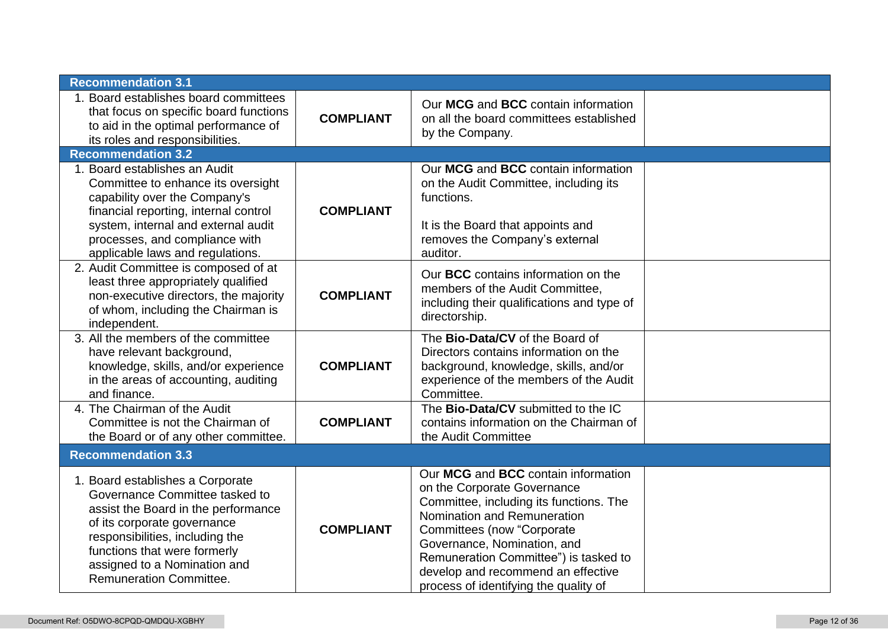| <b>Recommendation 3.1</b>                                                                                                                                                                                                                                                     |                  |                                                                                                                                                                                                                                                                                                                                          |  |
|-------------------------------------------------------------------------------------------------------------------------------------------------------------------------------------------------------------------------------------------------------------------------------|------------------|------------------------------------------------------------------------------------------------------------------------------------------------------------------------------------------------------------------------------------------------------------------------------------------------------------------------------------------|--|
| 1. Board establishes board committees<br>that focus on specific board functions<br>to aid in the optimal performance of<br>its roles and responsibilities.                                                                                                                    | <b>COMPLIANT</b> | Our MCG and BCC contain information<br>on all the board committees established<br>by the Company.                                                                                                                                                                                                                                        |  |
| <b>Recommendation 3.2</b>                                                                                                                                                                                                                                                     |                  |                                                                                                                                                                                                                                                                                                                                          |  |
| 1. Board establishes an Audit<br>Committee to enhance its oversight<br>capability over the Company's<br>financial reporting, internal control<br>system, internal and external audit<br>processes, and compliance with<br>applicable laws and regulations.                    | <b>COMPLIANT</b> | Our MCG and BCC contain information<br>on the Audit Committee, including its<br>functions.<br>It is the Board that appoints and<br>removes the Company's external<br>auditor.                                                                                                                                                            |  |
| 2. Audit Committee is composed of at<br>least three appropriately qualified<br>non-executive directors, the majority<br>of whom, including the Chairman is<br>independent.                                                                                                    | <b>COMPLIANT</b> | Our <b>BCC</b> contains information on the<br>members of the Audit Committee,<br>including their qualifications and type of<br>directorship.                                                                                                                                                                                             |  |
| 3. All the members of the committee<br>have relevant background,<br>knowledge, skills, and/or experience<br>in the areas of accounting, auditing<br>and finance.                                                                                                              | <b>COMPLIANT</b> | The Bio-Data/CV of the Board of<br>Directors contains information on the<br>background, knowledge, skills, and/or<br>experience of the members of the Audit<br>Committee.                                                                                                                                                                |  |
| 4. The Chairman of the Audit<br>Committee is not the Chairman of<br>the Board or of any other committee.                                                                                                                                                                      | <b>COMPLIANT</b> | The Bio-Data/CV submitted to the IC<br>contains information on the Chairman of<br>the Audit Committee                                                                                                                                                                                                                                    |  |
| <b>Recommendation 3.3</b>                                                                                                                                                                                                                                                     |                  |                                                                                                                                                                                                                                                                                                                                          |  |
| 1. Board establishes a Corporate<br>Governance Committee tasked to<br>assist the Board in the performance<br>of its corporate governance<br>responsibilities, including the<br>functions that were formerly<br>assigned to a Nomination and<br><b>Remuneration Committee.</b> | <b>COMPLIANT</b> | Our MCG and BCC contain information<br>on the Corporate Governance<br>Committee, including its functions. The<br>Nomination and Remuneration<br><b>Committees (now "Corporate</b><br>Governance, Nomination, and<br>Remuneration Committee") is tasked to<br>develop and recommend an effective<br>process of identifying the quality of |  |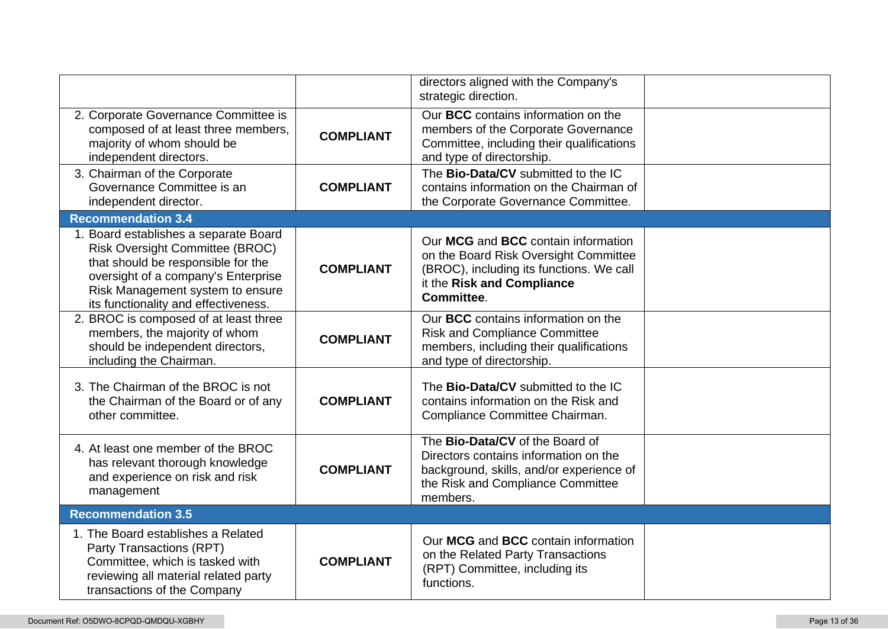|                                                                                                                                                                                                                                          |                  | directors aligned with the Company's<br>strategic direction.                                                                                                          |  |
|------------------------------------------------------------------------------------------------------------------------------------------------------------------------------------------------------------------------------------------|------------------|-----------------------------------------------------------------------------------------------------------------------------------------------------------------------|--|
| 2. Corporate Governance Committee is<br>composed of at least three members,<br>majority of whom should be<br>independent directors.                                                                                                      | <b>COMPLIANT</b> | Our BCC contains information on the<br>members of the Corporate Governance<br>Committee, including their qualifications<br>and type of directorship.                  |  |
| 3. Chairman of the Corporate<br>Governance Committee is an<br>independent director.                                                                                                                                                      | <b>COMPLIANT</b> | The Bio-Data/CV submitted to the IC<br>contains information on the Chairman of<br>the Corporate Governance Committee.                                                 |  |
| <b>Recommendation 3.4</b>                                                                                                                                                                                                                |                  |                                                                                                                                                                       |  |
| 1. Board establishes a separate Board<br><b>Risk Oversight Committee (BROC)</b><br>that should be responsible for the<br>oversight of a company's Enterprise<br>Risk Management system to ensure<br>its functionality and effectiveness. | <b>COMPLIANT</b> | Our MCG and BCC contain information<br>on the Board Risk Oversight Committee<br>(BROC), including its functions. We call<br>it the Risk and Compliance<br>Committee.  |  |
| 2. BROC is composed of at least three<br>members, the majority of whom<br>should be independent directors,<br>including the Chairman.                                                                                                    | <b>COMPLIANT</b> | Our BCC contains information on the<br><b>Risk and Compliance Committee</b><br>members, including their qualifications<br>and type of directorship.                   |  |
| 3. The Chairman of the BROC is not<br>the Chairman of the Board or of any<br>other committee.                                                                                                                                            | <b>COMPLIANT</b> | The Bio-Data/CV submitted to the IC<br>contains information on the Risk and<br>Compliance Committee Chairman.                                                         |  |
| 4. At least one member of the BROC<br>has relevant thorough knowledge<br>and experience on risk and risk<br>management                                                                                                                   | <b>COMPLIANT</b> | The Bio-Data/CV of the Board of<br>Directors contains information on the<br>background, skills, and/or experience of<br>the Risk and Compliance Committee<br>members. |  |
| <b>Recommendation 3.5</b>                                                                                                                                                                                                                |                  |                                                                                                                                                                       |  |
| 1. The Board establishes a Related<br>Party Transactions (RPT)<br>Committee, which is tasked with<br>reviewing all material related party<br>transactions of the Company                                                                 | <b>COMPLIANT</b> | Our MCG and BCC contain information<br>on the Related Party Transactions<br>(RPT) Committee, including its<br>functions.                                              |  |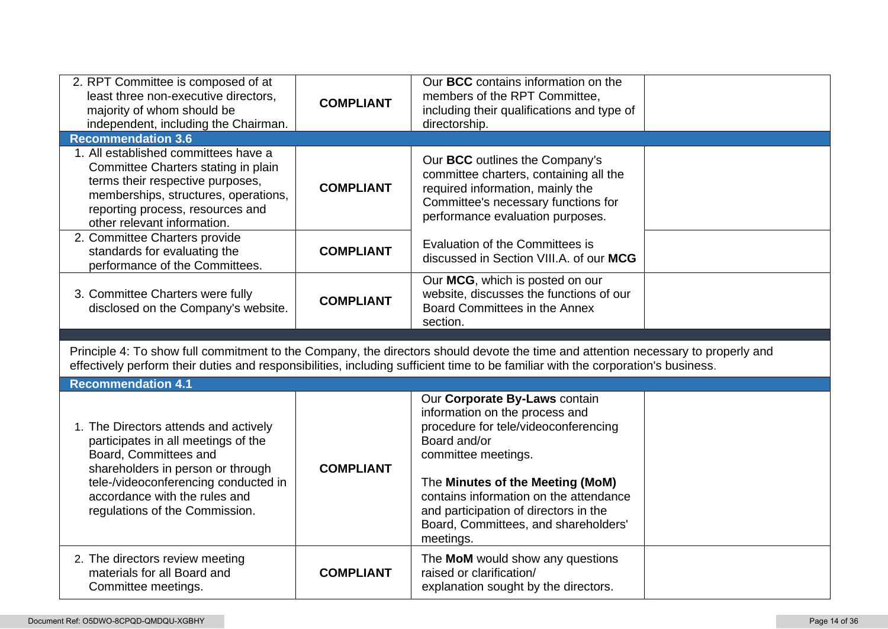| 2. RPT Committee is composed of at<br>least three non-executive directors,<br>majority of whom should be<br>independent, including the Chairman.                                                                           | <b>COMPLIANT</b> | Our BCC contains information on the<br>members of the RPT Committee.<br>including their qualifications and type of<br>directorship.                                                                                                                                   |  |
|----------------------------------------------------------------------------------------------------------------------------------------------------------------------------------------------------------------------------|------------------|-----------------------------------------------------------------------------------------------------------------------------------------------------------------------------------------------------------------------------------------------------------------------|--|
| <b>Recommendation 3.6</b>                                                                                                                                                                                                  |                  |                                                                                                                                                                                                                                                                       |  |
| 1. All established committees have a<br>Committee Charters stating in plain<br>terms their respective purposes,<br>memberships, structures, operations,<br>reporting process, resources and<br>other relevant information. | <b>COMPLIANT</b> | Our BCC outlines the Company's<br>committee charters, containing all the<br>required information, mainly the<br>Committee's necessary functions for<br>performance evaluation purposes.                                                                               |  |
| 2. Committee Charters provide<br>standards for evaluating the<br>performance of the Committees.                                                                                                                            | <b>COMPLIANT</b> | Evaluation of the Committees is<br>discussed in Section VIII.A. of our MCG                                                                                                                                                                                            |  |
| 3. Committee Charters were fully<br>disclosed on the Company's website.                                                                                                                                                    | <b>COMPLIANT</b> | Our MCG, which is posted on our<br>website, discusses the functions of our<br>Board Committees in the Annex                                                                                                                                                           |  |
|                                                                                                                                                                                                                            |                  | section.                                                                                                                                                                                                                                                              |  |
|                                                                                                                                                                                                                            |                  | Principle 4: To show full commitment to the Company, the directors should devote the time and attention necessary to properly and<br>effectively perform their duties and responsibilities, including sufficient time to be familiar with the corporation's business. |  |
| <b>Recommendation 4.1</b>                                                                                                                                                                                                  |                  |                                                                                                                                                                                                                                                                       |  |
| 1. The Directors attends and actively<br>participates in all meetings of the<br>Board, Committees and<br>shareholders in person or through<br>tele-/videoconferencing conducted in                                         | <b>COMPLIANT</b> | Our Corporate By-Laws contain<br>information on the process and<br>procedure for tele/videoconferencing<br>Board and/or<br>committee meetings.<br>The Minutes of the Meeting (MoM)                                                                                    |  |
| accordance with the rules and<br>regulations of the Commission.                                                                                                                                                            |                  | contains information on the attendance<br>and participation of directors in the<br>Board, Committees, and shareholders'<br>meetings.                                                                                                                                  |  |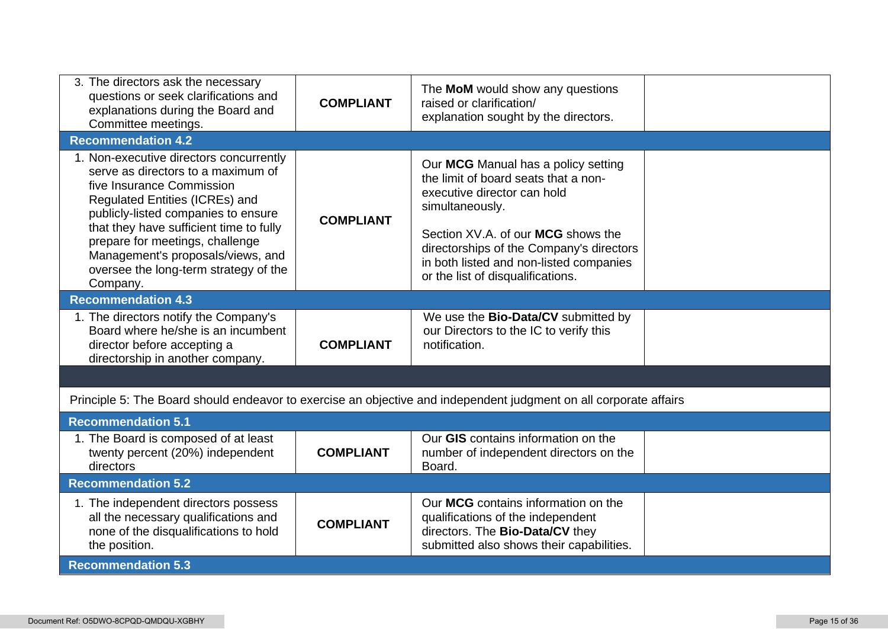| 3. The directors ask the necessary<br>questions or seek clarifications and<br>explanations during the Board and<br>Committee meetings.                                                                                                                                                                                                                      | <b>COMPLIANT</b> | The MoM would show any questions<br>raised or clarification/<br>explanation sought by the directors.                                                                                                                                                                                            |  |
|-------------------------------------------------------------------------------------------------------------------------------------------------------------------------------------------------------------------------------------------------------------------------------------------------------------------------------------------------------------|------------------|-------------------------------------------------------------------------------------------------------------------------------------------------------------------------------------------------------------------------------------------------------------------------------------------------|--|
| <b>Recommendation 4.2</b>                                                                                                                                                                                                                                                                                                                                   |                  |                                                                                                                                                                                                                                                                                                 |  |
| 1. Non-executive directors concurrently<br>serve as directors to a maximum of<br>five Insurance Commission<br>Regulated Entities (ICREs) and<br>publicly-listed companies to ensure<br>that they have sufficient time to fully<br>prepare for meetings, challenge<br>Management's proposals/views, and<br>oversee the long-term strategy of the<br>Company. | <b>COMPLIANT</b> | Our MCG Manual has a policy setting<br>the limit of board seats that a non-<br>executive director can hold<br>simultaneously.<br>Section XV.A. of our MCG shows the<br>directorships of the Company's directors<br>in both listed and non-listed companies<br>or the list of disqualifications. |  |
| <b>Recommendation 4.3</b>                                                                                                                                                                                                                                                                                                                                   |                  |                                                                                                                                                                                                                                                                                                 |  |
| 1. The directors notify the Company's<br>Board where he/she is an incumbent<br>director before accepting a<br>directorship in another company.                                                                                                                                                                                                              | <b>COMPLIANT</b> | We use the <b>Bio-Data/CV</b> submitted by<br>our Directors to the IC to verify this<br>notification.                                                                                                                                                                                           |  |
|                                                                                                                                                                                                                                                                                                                                                             |                  |                                                                                                                                                                                                                                                                                                 |  |
|                                                                                                                                                                                                                                                                                                                                                             |                  | Principle 5: The Board should endeavor to exercise an objective and independent judgment on all corporate affairs                                                                                                                                                                               |  |
| <b>Recommendation 5.1</b>                                                                                                                                                                                                                                                                                                                                   |                  |                                                                                                                                                                                                                                                                                                 |  |
| 1. The Board is composed of at least<br>twenty percent (20%) independent<br>directors                                                                                                                                                                                                                                                                       | <b>COMPLIANT</b> | Our GIS contains information on the<br>number of independent directors on the<br>Board.                                                                                                                                                                                                         |  |
| <b>Recommendation 5.2</b>                                                                                                                                                                                                                                                                                                                                   |                  |                                                                                                                                                                                                                                                                                                 |  |
| 1. The independent directors possess<br>all the necessary qualifications and<br>none of the disqualifications to hold<br>the position.                                                                                                                                                                                                                      | <b>COMPLIANT</b> | Our MCG contains information on the<br>qualifications of the independent<br>directors. The Bio-Data/CV they<br>submitted also shows their capabilities.                                                                                                                                         |  |
| <b>Recommendation 5.3</b>                                                                                                                                                                                                                                                                                                                                   |                  |                                                                                                                                                                                                                                                                                                 |  |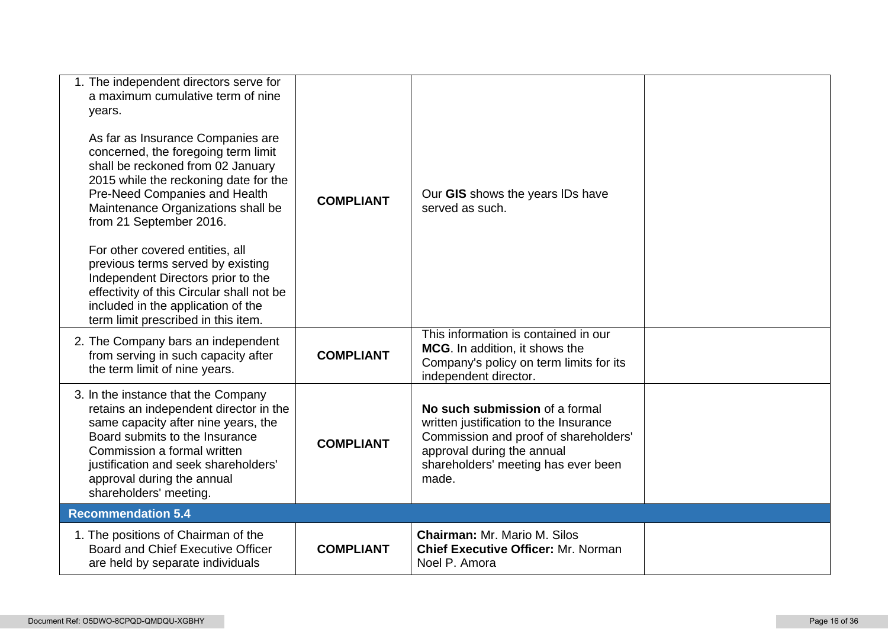| 1. The independent directors serve for<br>a maximum cumulative term of nine<br>years.<br>As far as Insurance Companies are<br>concerned, the foregoing term limit<br>shall be reckoned from 02 January<br>2015 while the reckoning date for the<br>Pre-Need Companies and Health<br>Maintenance Organizations shall be<br>from 21 September 2016.<br>For other covered entities, all<br>previous terms served by existing<br>Independent Directors prior to the<br>effectivity of this Circular shall not be<br>included in the application of the<br>term limit prescribed in this item. | <b>COMPLIANT</b> | Our GIS shows the years IDs have<br>served as such.                                                                                                                                             |  |
|-------------------------------------------------------------------------------------------------------------------------------------------------------------------------------------------------------------------------------------------------------------------------------------------------------------------------------------------------------------------------------------------------------------------------------------------------------------------------------------------------------------------------------------------------------------------------------------------|------------------|-------------------------------------------------------------------------------------------------------------------------------------------------------------------------------------------------|--|
| 2. The Company bars an independent<br>from serving in such capacity after<br>the term limit of nine years.                                                                                                                                                                                                                                                                                                                                                                                                                                                                                | <b>COMPLIANT</b> | This information is contained in our<br>MCG. In addition, it shows the<br>Company's policy on term limits for its<br>independent director.                                                      |  |
| 3. In the instance that the Company<br>retains an independent director in the<br>same capacity after nine years, the<br>Board submits to the Insurance<br>Commission a formal written<br>justification and seek shareholders'<br>approval during the annual<br>shareholders' meeting.                                                                                                                                                                                                                                                                                                     | <b>COMPLIANT</b> | No such submission of a formal<br>written justification to the Insurance<br>Commission and proof of shareholders'<br>approval during the annual<br>shareholders' meeting has ever been<br>made. |  |
| <b>Recommendation 5.4</b>                                                                                                                                                                                                                                                                                                                                                                                                                                                                                                                                                                 |                  |                                                                                                                                                                                                 |  |
| 1. The positions of Chairman of the<br>Board and Chief Executive Officer<br>are held by separate individuals                                                                                                                                                                                                                                                                                                                                                                                                                                                                              | <b>COMPLIANT</b> | <b>Chairman: Mr. Mario M. Silos</b><br><b>Chief Executive Officer: Mr. Norman</b><br>Noel P. Amora                                                                                              |  |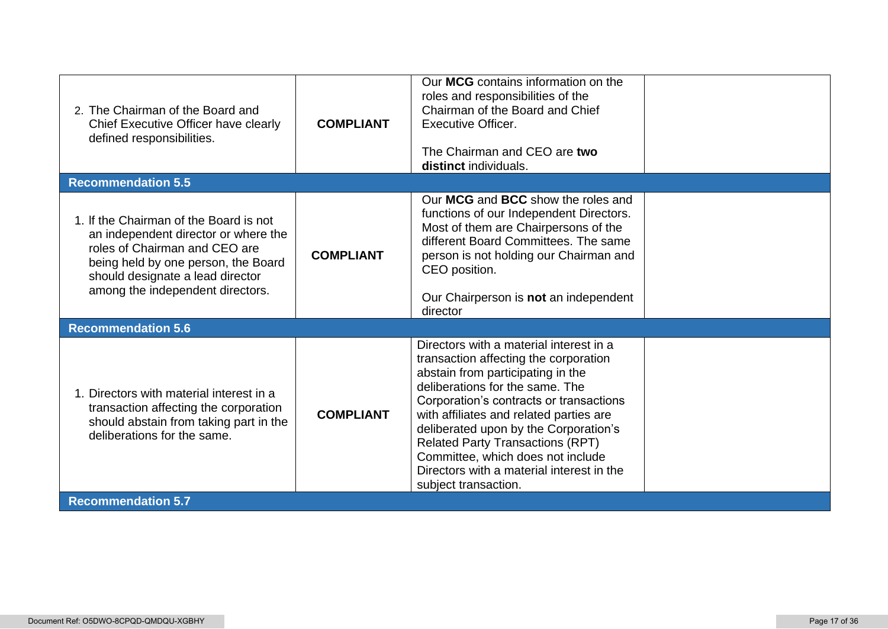| 2. The Chairman of the Board and<br>Chief Executive Officer have clearly<br>defined responsibilities.                                                                                                                          | <b>COMPLIANT</b> | Our MCG contains information on the<br>roles and responsibilities of the<br>Chairman of the Board and Chief<br>Executive Officer.<br>The Chairman and CEO are two<br>distinct individuals.                                                                                                                                                                                                                                                   |  |  |
|--------------------------------------------------------------------------------------------------------------------------------------------------------------------------------------------------------------------------------|------------------|----------------------------------------------------------------------------------------------------------------------------------------------------------------------------------------------------------------------------------------------------------------------------------------------------------------------------------------------------------------------------------------------------------------------------------------------|--|--|
| <b>Recommendation 5.5</b>                                                                                                                                                                                                      |                  |                                                                                                                                                                                                                                                                                                                                                                                                                                              |  |  |
| 1. If the Chairman of the Board is not<br>an independent director or where the<br>roles of Chairman and CEO are<br>being held by one person, the Board<br>should designate a lead director<br>among the independent directors. | <b>COMPLIANT</b> | Our MCG and BCC show the roles and<br>functions of our Independent Directors.<br>Most of them are Chairpersons of the<br>different Board Committees. The same<br>person is not holding our Chairman and<br>CEO position.<br>Our Chairperson is not an independent<br>director                                                                                                                                                                |  |  |
| <b>Recommendation 5.6</b>                                                                                                                                                                                                      |                  |                                                                                                                                                                                                                                                                                                                                                                                                                                              |  |  |
| Directors with material interest in a<br>transaction affecting the corporation<br>should abstain from taking part in the<br>deliberations for the same.                                                                        | <b>COMPLIANT</b> | Directors with a material interest in a<br>transaction affecting the corporation<br>abstain from participating in the<br>deliberations for the same. The<br>Corporation's contracts or transactions<br>with affiliates and related parties are<br>deliberated upon by the Corporation's<br><b>Related Party Transactions (RPT)</b><br>Committee, which does not include<br>Directors with a material interest in the<br>subject transaction. |  |  |
| <b>Recommendation 5.7</b>                                                                                                                                                                                                      |                  |                                                                                                                                                                                                                                                                                                                                                                                                                                              |  |  |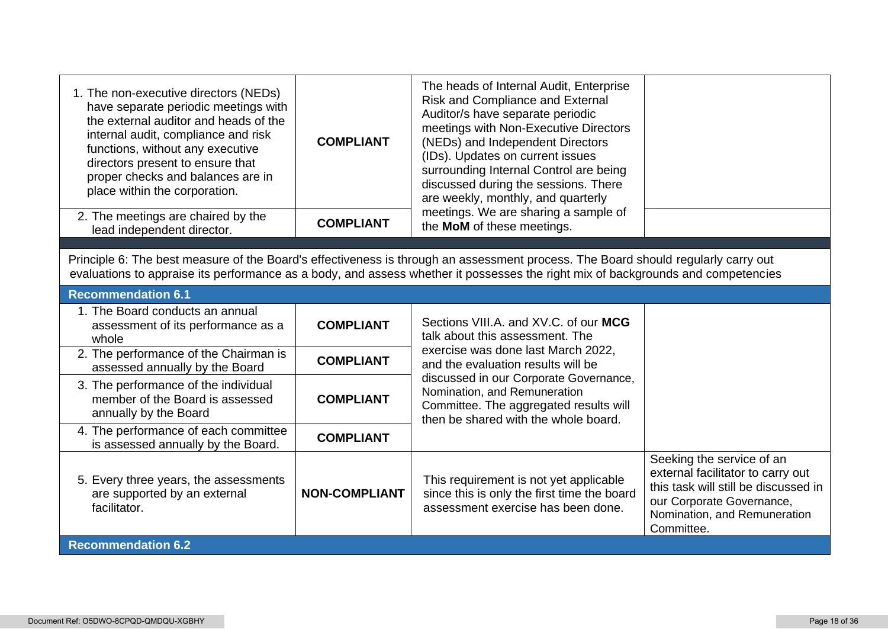| 1. The non-executive directors (NEDs)<br>have separate periodic meetings with<br>the external auditor and heads of the<br>internal audit, compliance and risk<br>functions, without any executive<br>directors present to ensure that<br>proper checks and balances are in<br>place within the corporation. | <b>COMPLIANT</b>     | The heads of Internal Audit, Enterprise<br>Risk and Compliance and External<br>Auditor/s have separate periodic<br>meetings with Non-Executive Directors<br>(NEDs) and Independent Directors<br>(IDs). Updates on current issues<br>surrounding Internal Control are being<br>discussed during the sessions. There<br>are weekly, monthly, and quarterly |                                                                                                                                                                                   |
|-------------------------------------------------------------------------------------------------------------------------------------------------------------------------------------------------------------------------------------------------------------------------------------------------------------|----------------------|----------------------------------------------------------------------------------------------------------------------------------------------------------------------------------------------------------------------------------------------------------------------------------------------------------------------------------------------------------|-----------------------------------------------------------------------------------------------------------------------------------------------------------------------------------|
| 2. The meetings are chaired by the<br>lead independent director.                                                                                                                                                                                                                                            | <b>COMPLIANT</b>     | meetings. We are sharing a sample of<br>the MoM of these meetings.                                                                                                                                                                                                                                                                                       |                                                                                                                                                                                   |
|                                                                                                                                                                                                                                                                                                             |                      |                                                                                                                                                                                                                                                                                                                                                          |                                                                                                                                                                                   |
|                                                                                                                                                                                                                                                                                                             |                      | Principle 6: The best measure of the Board's effectiveness is through an assessment process. The Board should regularly carry out<br>evaluations to appraise its performance as a body, and assess whether it possesses the right mix of backgrounds and competencies                                                                                    |                                                                                                                                                                                   |
| <b>Recommendation 6.1</b>                                                                                                                                                                                                                                                                                   |                      |                                                                                                                                                                                                                                                                                                                                                          |                                                                                                                                                                                   |
| 1. The Board conducts an annual<br>assessment of its performance as a<br>whole                                                                                                                                                                                                                              | <b>COMPLIANT</b>     | Sections VIII.A. and XV.C. of our MCG<br>talk about this assessment. The                                                                                                                                                                                                                                                                                 |                                                                                                                                                                                   |
| 2. The performance of the Chairman is<br>assessed annually by the Board                                                                                                                                                                                                                                     | <b>COMPLIANT</b>     | exercise was done last March 2022.<br>and the evaluation results will be                                                                                                                                                                                                                                                                                 |                                                                                                                                                                                   |
| 3. The performance of the individual<br>member of the Board is assessed<br>annually by the Board                                                                                                                                                                                                            | <b>COMPLIANT</b>     | discussed in our Corporate Governance,<br>Nomination, and Remuneration<br>Committee. The aggregated results will<br>then be shared with the whole board.                                                                                                                                                                                                 |                                                                                                                                                                                   |
| 4. The performance of each committee<br>is assessed annually by the Board.                                                                                                                                                                                                                                  | <b>COMPLIANT</b>     |                                                                                                                                                                                                                                                                                                                                                          |                                                                                                                                                                                   |
| 5. Every three years, the assessments<br>are supported by an external<br>facilitator.                                                                                                                                                                                                                       | <b>NON-COMPLIANT</b> | This requirement is not yet applicable<br>since this is only the first time the board<br>assessment exercise has been done.                                                                                                                                                                                                                              | Seeking the service of an<br>external facilitator to carry out<br>this task will still be discussed in<br>our Corporate Governance,<br>Nomination, and Remuneration<br>Committee. |
| <b>Recommendation 6.2</b>                                                                                                                                                                                                                                                                                   |                      |                                                                                                                                                                                                                                                                                                                                                          |                                                                                                                                                                                   |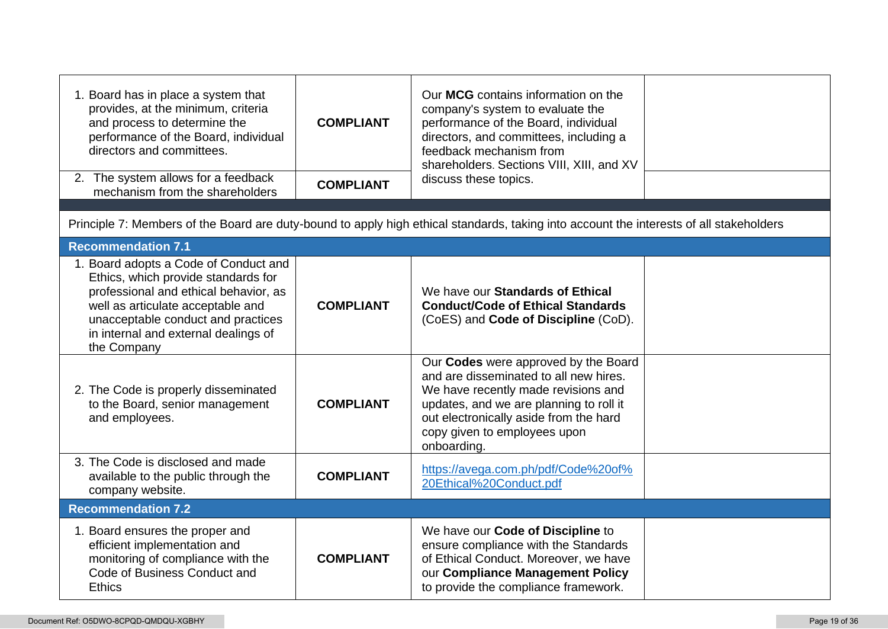| 1. Board has in place a system that<br>provides, at the minimum, criteria<br>and process to determine the<br>performance of the Board, individual<br>directors and committees.                                                                          | <b>COMPLIANT</b> | Our MCG contains information on the<br>company's system to evaluate the<br>performance of the Board, individual<br>directors, and committees, including a<br>feedback mechanism from<br>shareholders. Sections VIII, XIII, and XV                         |  |
|---------------------------------------------------------------------------------------------------------------------------------------------------------------------------------------------------------------------------------------------------------|------------------|-----------------------------------------------------------------------------------------------------------------------------------------------------------------------------------------------------------------------------------------------------------|--|
| 2. The system allows for a feedback<br>mechanism from the shareholders                                                                                                                                                                                  | <b>COMPLIANT</b> | discuss these topics.                                                                                                                                                                                                                                     |  |
|                                                                                                                                                                                                                                                         |                  | Principle 7: Members of the Board are duty-bound to apply high ethical standards, taking into account the interests of all stakeholders                                                                                                                   |  |
| <b>Recommendation 7.1</b>                                                                                                                                                                                                                               |                  |                                                                                                                                                                                                                                                           |  |
| 1. Board adopts a Code of Conduct and<br>Ethics, which provide standards for<br>professional and ethical behavior, as<br>well as articulate acceptable and<br>unacceptable conduct and practices<br>in internal and external dealings of<br>the Company | <b>COMPLIANT</b> | We have our Standards of Ethical<br><b>Conduct/Code of Ethical Standards</b><br>(CoES) and Code of Discipline (CoD).                                                                                                                                      |  |
| 2. The Code is properly disseminated<br>to the Board, senior management<br>and employees.                                                                                                                                                               | <b>COMPLIANT</b> | Our Codes were approved by the Board<br>and are disseminated to all new hires.<br>We have recently made revisions and<br>updates, and we are planning to roll it<br>out electronically aside from the hard<br>copy given to employees upon<br>onboarding. |  |
| 3. The Code is disclosed and made<br>available to the public through the<br>company website.                                                                                                                                                            | <b>COMPLIANT</b> | https://avega.com.ph/pdf/Code%20of%<br>20Ethical%20Conduct.pdf                                                                                                                                                                                            |  |
| <b>Recommendation 7.2</b>                                                                                                                                                                                                                               |                  |                                                                                                                                                                                                                                                           |  |
| 1. Board ensures the proper and<br>efficient implementation and<br>monitoring of compliance with the<br>Code of Business Conduct and<br><b>Ethics</b>                                                                                                   | <b>COMPLIANT</b> | We have our Code of Discipline to<br>ensure compliance with the Standards<br>of Ethical Conduct. Moreover, we have<br>our Compliance Management Policy<br>to provide the compliance framework.                                                            |  |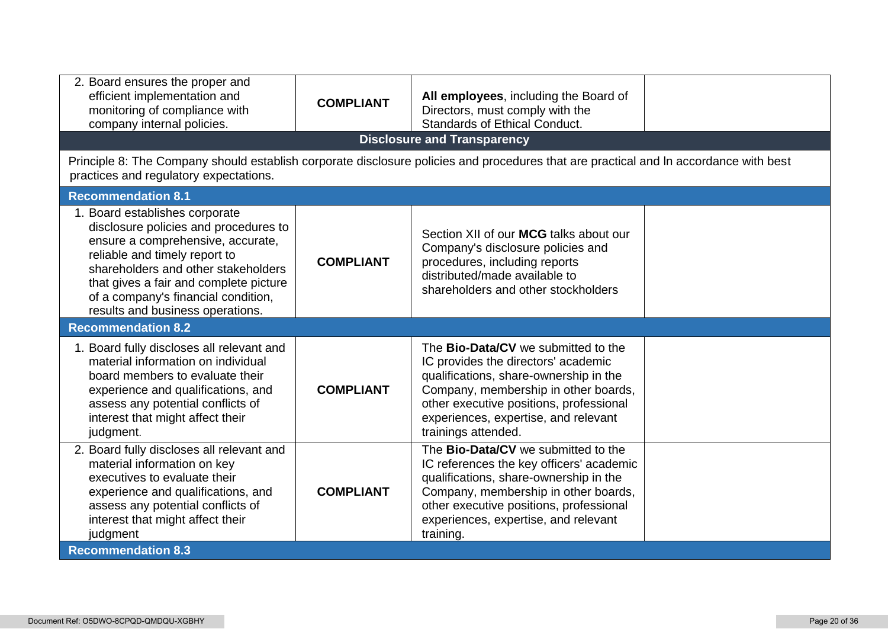| 2. Board ensures the proper and<br>efficient implementation and<br>All employees, including the Board of<br><b>COMPLIANT</b><br>monitoring of compliance with<br>Directors, must comply with the<br><b>Standards of Ethical Conduct.</b><br>company internal policies.<br><b>Disclosure and Transparency</b><br>Principle 8: The Company should establish corporate disclosure policies and procedures that are practical and In accordance with best<br>practices and regulatory expectations. |                  |                                                                                                                                                                                                                                                                               |  |  |  |
|-------------------------------------------------------------------------------------------------------------------------------------------------------------------------------------------------------------------------------------------------------------------------------------------------------------------------------------------------------------------------------------------------------------------------------------------------------------------------------------------------|------------------|-------------------------------------------------------------------------------------------------------------------------------------------------------------------------------------------------------------------------------------------------------------------------------|--|--|--|
| <b>Recommendation 8.1</b>                                                                                                                                                                                                                                                                                                                                                                                                                                                                       |                  |                                                                                                                                                                                                                                                                               |  |  |  |
| 1. Board establishes corporate<br>disclosure policies and procedures to<br>ensure a comprehensive, accurate,<br>reliable and timely report to<br>shareholders and other stakeholders<br>that gives a fair and complete picture<br>of a company's financial condition,<br>results and business operations.                                                                                                                                                                                       | <b>COMPLIANT</b> | Section XII of our MCG talks about our<br>Company's disclosure policies and<br>procedures, including reports<br>distributed/made available to<br>shareholders and other stockholders                                                                                          |  |  |  |
| <b>Recommendation 8.2</b>                                                                                                                                                                                                                                                                                                                                                                                                                                                                       |                  |                                                                                                                                                                                                                                                                               |  |  |  |
| 1. Board fully discloses all relevant and<br>material information on individual<br>board members to evaluate their<br>experience and qualifications, and<br>assess any potential conflicts of<br>interest that might affect their<br>judgment.                                                                                                                                                                                                                                                  | <b>COMPLIANT</b> | The <b>Bio-Data/CV</b> we submitted to the<br>IC provides the directors' academic<br>qualifications, share-ownership in the<br>Company, membership in other boards,<br>other executive positions, professional<br>experiences, expertise, and relevant<br>trainings attended. |  |  |  |
| 2. Board fully discloses all relevant and<br>material information on key<br>executives to evaluate their<br>experience and qualifications, and<br>assess any potential conflicts of<br>interest that might affect their<br>judgment<br><b>Recommendation 8.3</b>                                                                                                                                                                                                                                | <b>COMPLIANT</b> | The <b>Bio-Data/CV</b> we submitted to the<br>IC references the key officers' academic<br>qualifications, share-ownership in the<br>Company, membership in other boards,<br>other executive positions, professional<br>experiences, expertise, and relevant<br>training.      |  |  |  |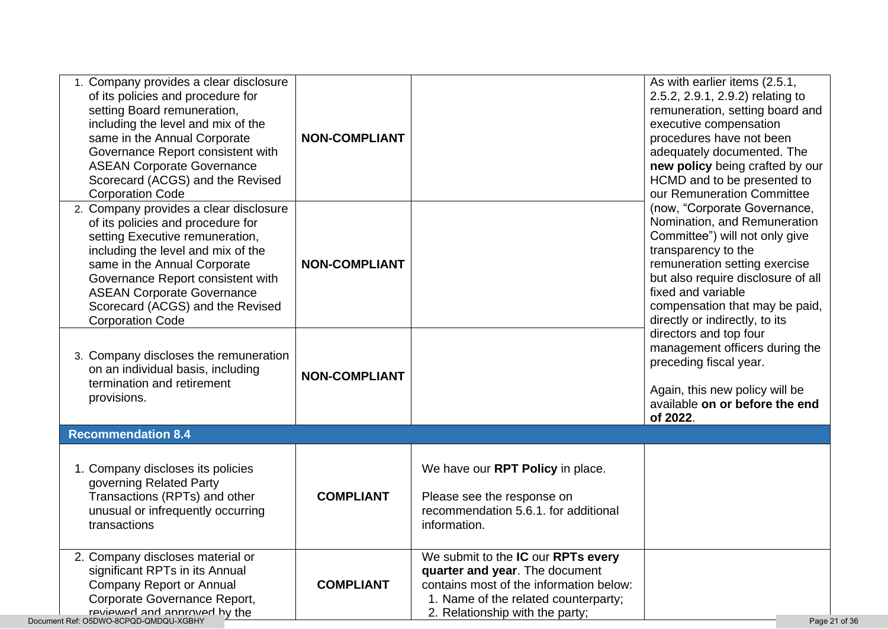| 1. Company provides a clear disclosure<br>of its policies and procedure for<br>setting Board remuneration,<br>including the level and mix of the<br>same in the Annual Corporate<br>Governance Report consistent with<br><b>ASEAN Corporate Governance</b><br>Scorecard (ACGS) and the Revised<br><b>Corporation Code</b>     | <b>NON-COMPLIANT</b> |                                                                                                                                                                                            | As with earlier items (2.5.1,<br>2.5.2, 2.9.1, 2.9.2) relating to<br>remuneration, setting board and<br>executive compensation<br>procedures have not been<br>adequately documented. The<br>new policy being crafted by our<br>HCMD and to be presented to<br>our Remuneration Committee                                                                                                                                                                     |
|-------------------------------------------------------------------------------------------------------------------------------------------------------------------------------------------------------------------------------------------------------------------------------------------------------------------------------|----------------------|--------------------------------------------------------------------------------------------------------------------------------------------------------------------------------------------|--------------------------------------------------------------------------------------------------------------------------------------------------------------------------------------------------------------------------------------------------------------------------------------------------------------------------------------------------------------------------------------------------------------------------------------------------------------|
| 2. Company provides a clear disclosure<br>of its policies and procedure for<br>setting Executive remuneration,<br>including the level and mix of the<br>same in the Annual Corporate<br>Governance Report consistent with<br><b>ASEAN Corporate Governance</b><br>Scorecard (ACGS) and the Revised<br><b>Corporation Code</b> | <b>NON-COMPLIANT</b> |                                                                                                                                                                                            | (now, "Corporate Governance,<br>Nomination, and Remuneration<br>Committee") will not only give<br>transparency to the<br>remuneration setting exercise<br>but also require disclosure of all<br>fixed and variable<br>compensation that may be paid,<br>directly or indirectly, to its<br>directors and top four<br>management officers during the<br>preceding fiscal year.<br>Again, this new policy will be<br>available on or before the end<br>of 2022. |
| 3. Company discloses the remuneration<br>on an individual basis, including<br>termination and retirement<br>provisions.                                                                                                                                                                                                       | <b>NON-COMPLIANT</b> |                                                                                                                                                                                            |                                                                                                                                                                                                                                                                                                                                                                                                                                                              |
| <b>Recommendation 8.4</b>                                                                                                                                                                                                                                                                                                     |                      |                                                                                                                                                                                            |                                                                                                                                                                                                                                                                                                                                                                                                                                                              |
| 1. Company discloses its policies<br>governing Related Party<br>Transactions (RPTs) and other<br>unusual or infrequently occurring<br>transactions                                                                                                                                                                            | <b>COMPLIANT</b>     | We have our RPT Policy in place.<br>Please see the response on<br>recommendation 5.6.1. for additional<br>information.                                                                     |                                                                                                                                                                                                                                                                                                                                                                                                                                                              |
| 2. Company discloses material or<br>significant RPTs in its Annual<br><b>Company Report or Annual</b><br>Corporate Governance Report,<br>reviewed and annroved by the<br>Document Ref: O5DWO-8CPQD-QMDQU-XGBHY                                                                                                                | <b>COMPLIANT</b>     | We submit to the IC our RPTs every<br>quarter and year. The document<br>contains most of the information below:<br>1. Name of the related counterparty;<br>2. Relationship with the party; | Page 21 of 36                                                                                                                                                                                                                                                                                                                                                                                                                                                |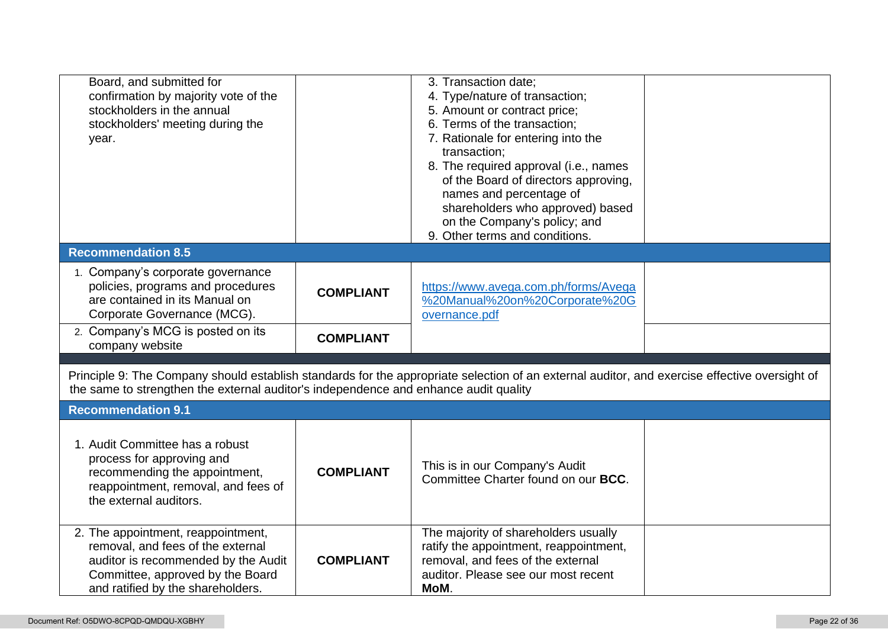| Board, and submitted for                                                             |                  | 3. Transaction date;                                                                                                                          |  |
|--------------------------------------------------------------------------------------|------------------|-----------------------------------------------------------------------------------------------------------------------------------------------|--|
| confirmation by majority vote of the                                                 |                  | 4. Type/nature of transaction;                                                                                                                |  |
| stockholders in the annual                                                           |                  | 5. Amount or contract price;                                                                                                                  |  |
| stockholders' meeting during the                                                     |                  | 6. Terms of the transaction;                                                                                                                  |  |
| year.                                                                                |                  | 7. Rationale for entering into the                                                                                                            |  |
|                                                                                      |                  | transaction;                                                                                                                                  |  |
|                                                                                      |                  |                                                                                                                                               |  |
|                                                                                      |                  | 8. The required approval (i.e., names                                                                                                         |  |
|                                                                                      |                  | of the Board of directors approving,                                                                                                          |  |
|                                                                                      |                  | names and percentage of                                                                                                                       |  |
|                                                                                      |                  | shareholders who approved) based                                                                                                              |  |
|                                                                                      |                  | on the Company's policy; and                                                                                                                  |  |
|                                                                                      |                  | 9. Other terms and conditions.                                                                                                                |  |
| <b>Recommendation 8.5</b>                                                            |                  |                                                                                                                                               |  |
| 1. Company's corporate governance                                                    |                  |                                                                                                                                               |  |
| policies, programs and procedures                                                    |                  | https://www.avega.com.ph/forms/Avega                                                                                                          |  |
| are contained in its Manual on                                                       | <b>COMPLIANT</b> | %20Manual%20on%20Corporate%20G                                                                                                                |  |
| Corporate Governance (MCG).                                                          |                  | overnance.pdf                                                                                                                                 |  |
|                                                                                      |                  |                                                                                                                                               |  |
| 2. Company's MCG is posted on its                                                    | <b>COMPLIANT</b> |                                                                                                                                               |  |
| company website                                                                      |                  |                                                                                                                                               |  |
|                                                                                      |                  |                                                                                                                                               |  |
|                                                                                      |                  | Principle 9: The Company should establish standards for the appropriate selection of an external auditor, and exercise effective oversight of |  |
| the same to strengthen the external auditor's independence and enhance audit quality |                  |                                                                                                                                               |  |
| <b>Recommendation 9.1</b>                                                            |                  |                                                                                                                                               |  |
|                                                                                      |                  |                                                                                                                                               |  |
| 1. Audit Committee has a robust                                                      |                  |                                                                                                                                               |  |
| process for approving and                                                            |                  |                                                                                                                                               |  |
| recommending the appointment,                                                        | <b>COMPLIANT</b> | This is in our Company's Audit                                                                                                                |  |
| reappointment, removal, and fees of                                                  |                  |                                                                                                                                               |  |
| the external auditors.                                                               |                  | Committee Charter found on our <b>BCC</b> .                                                                                                   |  |
|                                                                                      |                  |                                                                                                                                               |  |
|                                                                                      |                  |                                                                                                                                               |  |
|                                                                                      |                  |                                                                                                                                               |  |
| 2. The appointment, reappointment,                                                   |                  | The majority of shareholders usually                                                                                                          |  |
| removal, and fees of the external                                                    |                  | ratify the appointment, reappointment,                                                                                                        |  |
| auditor is recommended by the Audit                                                  | <b>COMPLIANT</b> | removal, and fees of the external                                                                                                             |  |
| Committee, approved by the Board<br>and ratified by the shareholders.                |                  | auditor. Please see our most recent<br>MoM.                                                                                                   |  |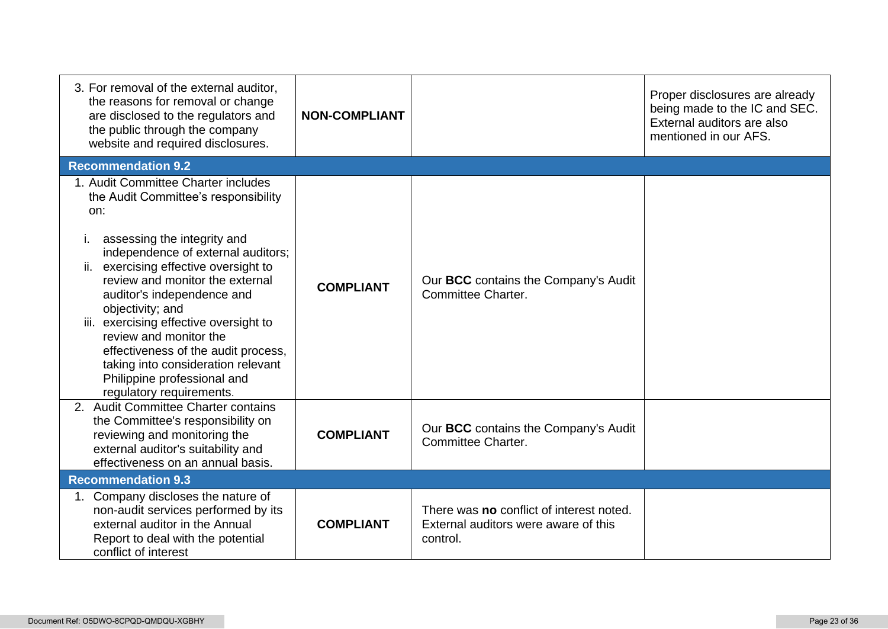| 3. For removal of the external auditor,<br>the reasons for removal or change<br>are disclosed to the regulators and<br>the public through the company<br>website and required disclosures.                                                                                                                                                                                                                                                                                                              | <b>NON-COMPLIANT</b> |                                                                                              | Proper disclosures are already<br>being made to the IC and SEC.<br>External auditors are also<br>mentioned in our AFS. |
|---------------------------------------------------------------------------------------------------------------------------------------------------------------------------------------------------------------------------------------------------------------------------------------------------------------------------------------------------------------------------------------------------------------------------------------------------------------------------------------------------------|----------------------|----------------------------------------------------------------------------------------------|------------------------------------------------------------------------------------------------------------------------|
| <b>Recommendation 9.2</b>                                                                                                                                                                                                                                                                                                                                                                                                                                                                               |                      |                                                                                              |                                                                                                                        |
| 1. Audit Committee Charter includes<br>the Audit Committee's responsibility<br>on:<br>assessing the integrity and<br>Τ.<br>independence of external auditors;<br>ii. exercising effective oversight to<br>review and monitor the external<br>auditor's independence and<br>objectivity; and<br>iii. exercising effective oversight to<br>review and monitor the<br>effectiveness of the audit process,<br>taking into consideration relevant<br>Philippine professional and<br>regulatory requirements. | <b>COMPLIANT</b>     | Our BCC contains the Company's Audit<br>Committee Charter.                                   |                                                                                                                        |
| 2. Audit Committee Charter contains<br>the Committee's responsibility on<br>reviewing and monitoring the<br>external auditor's suitability and<br>effectiveness on an annual basis.                                                                                                                                                                                                                                                                                                                     | <b>COMPLIANT</b>     | Our BCC contains the Company's Audit<br>Committee Charter.                                   |                                                                                                                        |
| <b>Recommendation 9.3</b>                                                                                                                                                                                                                                                                                                                                                                                                                                                                               |                      |                                                                                              |                                                                                                                        |
| 1. Company discloses the nature of<br>non-audit services performed by its<br>external auditor in the Annual<br>Report to deal with the potential<br>conflict of interest                                                                                                                                                                                                                                                                                                                                | <b>COMPLIANT</b>     | There was no conflict of interest noted.<br>External auditors were aware of this<br>control. |                                                                                                                        |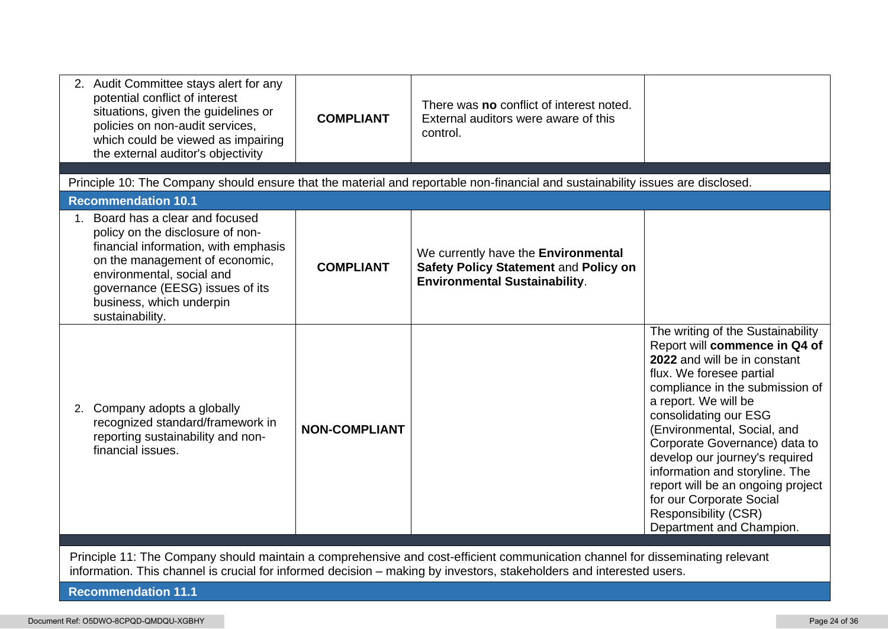| 2. Audit Committee stays alert for any<br>potential conflict of interest<br>situations, given the guidelines or<br>policies on non-audit services,<br>which could be viewed as impairing<br>the external auditor's objectivity                                | <b>COMPLIANT</b>                                                                                                                                                                                                                                      | There was no conflict of interest noted.<br>External auditors were aware of this<br>control.                                    |                                                                                                                                                                                                                                                                                                                                                                                                                                                                                    |  |  |
|---------------------------------------------------------------------------------------------------------------------------------------------------------------------------------------------------------------------------------------------------------------|-------------------------------------------------------------------------------------------------------------------------------------------------------------------------------------------------------------------------------------------------------|---------------------------------------------------------------------------------------------------------------------------------|------------------------------------------------------------------------------------------------------------------------------------------------------------------------------------------------------------------------------------------------------------------------------------------------------------------------------------------------------------------------------------------------------------------------------------------------------------------------------------|--|--|
|                                                                                                                                                                                                                                                               |                                                                                                                                                                                                                                                       | Principle 10: The Company should ensure that the material and reportable non-financial and sustainability issues are disclosed. |                                                                                                                                                                                                                                                                                                                                                                                                                                                                                    |  |  |
| <b>Recommendation 10.1</b>                                                                                                                                                                                                                                    |                                                                                                                                                                                                                                                       |                                                                                                                                 |                                                                                                                                                                                                                                                                                                                                                                                                                                                                                    |  |  |
| 1. Board has a clear and focused<br>policy on the disclosure of non-<br>financial information, with emphasis<br>on the management of economic,<br>environmental, social and<br>governance (EESG) issues of its<br>business, which underpin<br>sustainability. | <b>COMPLIANT</b>                                                                                                                                                                                                                                      | We currently have the Environmental<br>Safety Policy Statement and Policy on<br><b>Environmental Sustainability.</b>            |                                                                                                                                                                                                                                                                                                                                                                                                                                                                                    |  |  |
| 2. Company adopts a globally<br>recognized standard/framework in<br>reporting sustainability and non-<br>financial issues.                                                                                                                                    | <b>NON-COMPLIANT</b>                                                                                                                                                                                                                                  |                                                                                                                                 | The writing of the Sustainability<br>Report will commence in Q4 of<br>2022 and will be in constant<br>flux. We foresee partial<br>compliance in the submission of<br>a report. We will be<br>consolidating our ESG<br>(Environmental, Social, and<br>Corporate Governance) data to<br>develop our journey's required<br>information and storyline. The<br>report will be an ongoing project<br>for our Corporate Social<br><b>Responsibility (CSR)</b><br>Department and Champion. |  |  |
|                                                                                                                                                                                                                                                               | Principle 11: The Company should maintain a comprehensive and cost-efficient communication channel for disseminating relevant<br>information. This channel is crucial for informed decision – making by investors, stakeholders and interested users. |                                                                                                                                 |                                                                                                                                                                                                                                                                                                                                                                                                                                                                                    |  |  |

**Recommendation 11.1**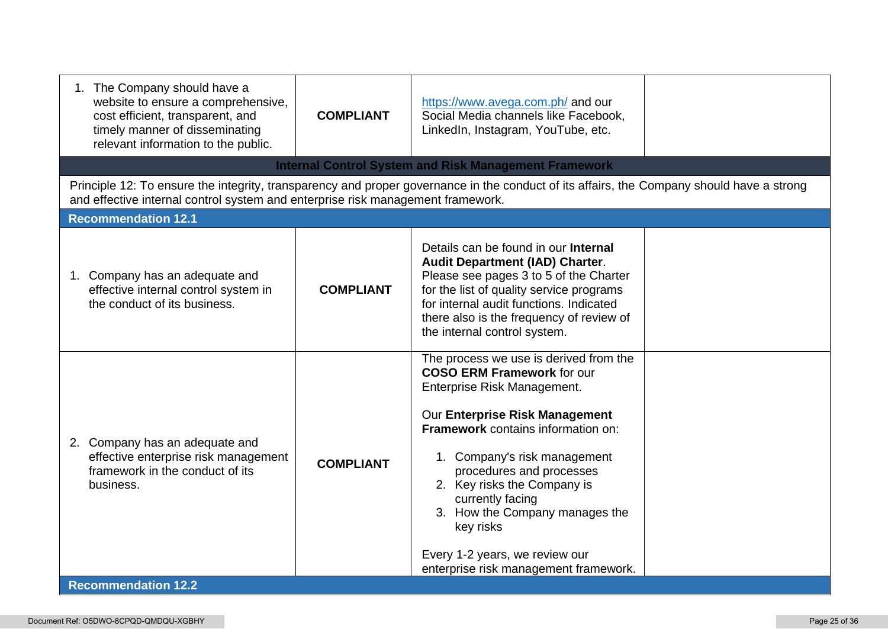| 1. The Company should have a<br>website to ensure a comprehensive,<br>cost efficient, transparent, and<br>timely manner of disseminating<br>relevant information to the public. | <b>COMPLIANT</b> | https://www.avega.com.ph/ and our<br>Social Media channels like Facebook,<br>LinkedIn, Instagram, YouTube, etc.                                                                                                                                                                                                                                                                                                                    |  |
|---------------------------------------------------------------------------------------------------------------------------------------------------------------------------------|------------------|------------------------------------------------------------------------------------------------------------------------------------------------------------------------------------------------------------------------------------------------------------------------------------------------------------------------------------------------------------------------------------------------------------------------------------|--|
|                                                                                                                                                                                 |                  | <b>Internal Control System and Risk Management Framework</b>                                                                                                                                                                                                                                                                                                                                                                       |  |
| and effective internal control system and enterprise risk management framework.                                                                                                 |                  | Principle 12: To ensure the integrity, transparency and proper governance in the conduct of its affairs, the Company should have a strong                                                                                                                                                                                                                                                                                          |  |
| <b>Recommendation 12.1</b>                                                                                                                                                      |                  |                                                                                                                                                                                                                                                                                                                                                                                                                                    |  |
| 1. Company has an adequate and<br>effective internal control system in<br>the conduct of its business.                                                                          | <b>COMPLIANT</b> | Details can be found in our <b>Internal</b><br><b>Audit Department (IAD) Charter.</b><br>Please see pages 3 to 5 of the Charter<br>for the list of quality service programs<br>for internal audit functions. Indicated<br>there also is the frequency of review of<br>the internal control system.                                                                                                                                 |  |
| 2. Company has an adequate and<br>effective enterprise risk management<br>framework in the conduct of its<br>business.<br><b>Recommendation 12.2</b>                            | <b>COMPLIANT</b> | The process we use is derived from the<br><b>COSO ERM Framework for our</b><br>Enterprise Risk Management.<br>Our Enterprise Risk Management<br><b>Framework</b> contains information on:<br>1. Company's risk management<br>procedures and processes<br>2. Key risks the Company is<br>currently facing<br>3. How the Company manages the<br>key risks<br>Every 1-2 years, we review our<br>enterprise risk management framework. |  |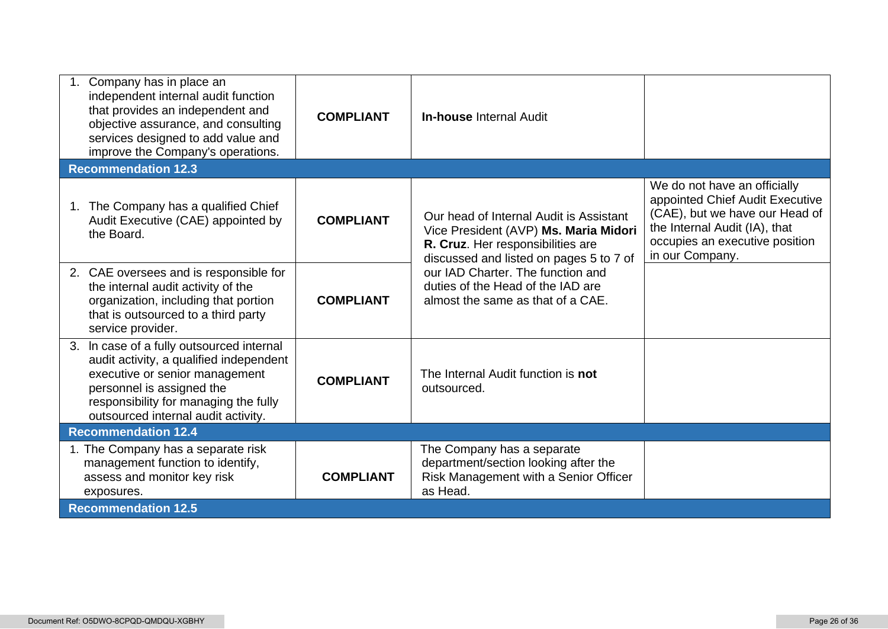| 1. Company has in place an<br>independent internal audit function<br>that provides an independent and<br>objective assurance, and consulting<br>services designed to add value and<br>improve the Company's operations.             | <b>COMPLIANT</b> | <b>In-house Internal Audit</b>                                                                                                                                   |                                                                                                                                                                                         |
|-------------------------------------------------------------------------------------------------------------------------------------------------------------------------------------------------------------------------------------|------------------|------------------------------------------------------------------------------------------------------------------------------------------------------------------|-----------------------------------------------------------------------------------------------------------------------------------------------------------------------------------------|
| <b>Recommendation 12.3</b>                                                                                                                                                                                                          |                  |                                                                                                                                                                  |                                                                                                                                                                                         |
| The Company has a qualified Chief<br>1.<br>Audit Executive (CAE) appointed by<br>the Board.                                                                                                                                         | <b>COMPLIANT</b> | Our head of Internal Audit is Assistant<br>Vice President (AVP) Ms. Maria Midori<br>R. Cruz. Her responsibilities are<br>discussed and listed on pages 5 to 7 of | We do not have an officially<br>appointed Chief Audit Executive<br>(CAE), but we have our Head of<br>the Internal Audit (IA), that<br>occupies an executive position<br>in our Company. |
| 2. CAE oversees and is responsible for<br>the internal audit activity of the<br>organization, including that portion<br>that is outsourced to a third party<br>service provider.                                                    | <b>COMPLIANT</b> | our IAD Charter. The function and<br>duties of the Head of the IAD are<br>almost the same as that of a CAE.                                                      |                                                                                                                                                                                         |
| 3. In case of a fully outsourced internal<br>audit activity, a qualified independent<br>executive or senior management<br>personnel is assigned the<br>responsibility for managing the fully<br>outsourced internal audit activity. | <b>COMPLIANT</b> | The Internal Audit function is not<br>outsourced.                                                                                                                |                                                                                                                                                                                         |
| <b>Recommendation 12.4</b>                                                                                                                                                                                                          |                  |                                                                                                                                                                  |                                                                                                                                                                                         |
| 1. The Company has a separate risk<br>management function to identify,<br>assess and monitor key risk<br>exposures.                                                                                                                 | <b>COMPLIANT</b> | The Company has a separate<br>department/section looking after the<br>Risk Management with a Senior Officer<br>as Head.                                          |                                                                                                                                                                                         |
| <b>Recommendation 12.5</b>                                                                                                                                                                                                          |                  |                                                                                                                                                                  |                                                                                                                                                                                         |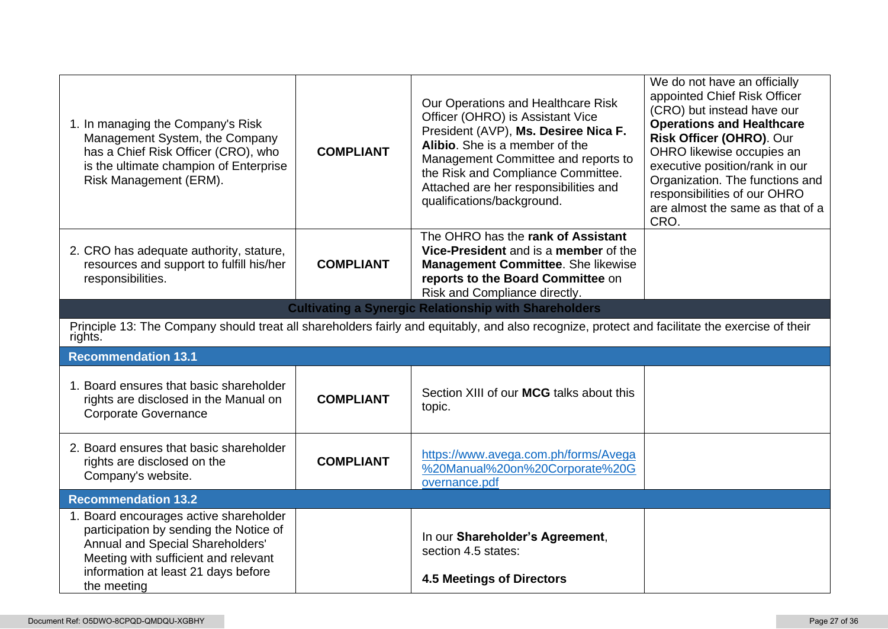| 1. In managing the Company's Risk<br>Management System, the Company<br>has a Chief Risk Officer (CRO), who<br>is the ultimate champion of Enterprise<br>Risk Management (ERM).                                     | <b>COMPLIANT</b> | Our Operations and Healthcare Risk<br>Officer (OHRO) is Assistant Vice<br>President (AVP), Ms. Desiree Nica F.<br>Alibio. She is a member of the<br>Management Committee and reports to<br>the Risk and Compliance Committee.<br>Attached are her responsibilities and<br>qualifications/background. | We do not have an officially<br>appointed Chief Risk Officer<br>(CRO) but instead have our<br><b>Operations and Healthcare</b><br>Risk Officer (OHRO). Our<br>OHRO likewise occupies an<br>executive position/rank in our<br>Organization. The functions and<br>responsibilities of our OHRO<br>are almost the same as that of a<br>CRO. |  |
|--------------------------------------------------------------------------------------------------------------------------------------------------------------------------------------------------------------------|------------------|------------------------------------------------------------------------------------------------------------------------------------------------------------------------------------------------------------------------------------------------------------------------------------------------------|------------------------------------------------------------------------------------------------------------------------------------------------------------------------------------------------------------------------------------------------------------------------------------------------------------------------------------------|--|
| 2. CRO has adequate authority, stature,<br>resources and support to fulfill his/her<br>responsibilities.                                                                                                           | <b>COMPLIANT</b> | The OHRO has the rank of Assistant<br>Vice-President and is a member of the<br><b>Management Committee.</b> She likewise<br>reports to the Board Committee on<br>Risk and Compliance directly.                                                                                                       |                                                                                                                                                                                                                                                                                                                                          |  |
| <b>Cultivating a Synergic Relationship with Shareholders</b>                                                                                                                                                       |                  |                                                                                                                                                                                                                                                                                                      |                                                                                                                                                                                                                                                                                                                                          |  |
| Principle 13: The Company should treat all shareholders fairly and equitably, and also recognize, protect and facilitate the exercise of their<br>rights.                                                          |                  |                                                                                                                                                                                                                                                                                                      |                                                                                                                                                                                                                                                                                                                                          |  |
| <b>Recommendation 13.1</b>                                                                                                                                                                                         |                  |                                                                                                                                                                                                                                                                                                      |                                                                                                                                                                                                                                                                                                                                          |  |
| 1. Board ensures that basic shareholder<br>rights are disclosed in the Manual on<br><b>Corporate Governance</b>                                                                                                    | <b>COMPLIANT</b> | Section XIII of our MCG talks about this<br>topic.                                                                                                                                                                                                                                                   |                                                                                                                                                                                                                                                                                                                                          |  |
| 2. Board ensures that basic shareholder<br>rights are disclosed on the<br>Company's website.                                                                                                                       | <b>COMPLIANT</b> | https://www.avega.com.ph/forms/Avega<br>%20Manual%20on%20Corporate%20G<br>overnance.pdf                                                                                                                                                                                                              |                                                                                                                                                                                                                                                                                                                                          |  |
| <b>Recommendation 13.2</b>                                                                                                                                                                                         |                  |                                                                                                                                                                                                                                                                                                      |                                                                                                                                                                                                                                                                                                                                          |  |
| 1. Board encourages active shareholder<br>participation by sending the Notice of<br>Annual and Special Shareholders'<br>Meeting with sufficient and relevant<br>information at least 21 days before<br>the meeting |                  | In our Shareholder's Agreement,<br>section 4.5 states:<br><b>4.5 Meetings of Directors</b>                                                                                                                                                                                                           |                                                                                                                                                                                                                                                                                                                                          |  |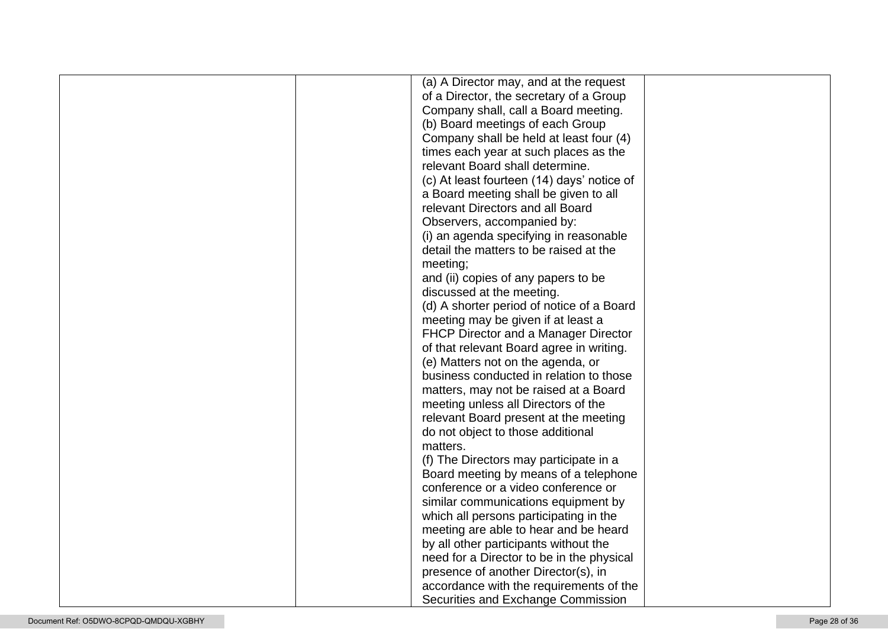| (a) A Director may, and at the request     |  |
|--------------------------------------------|--|
| of a Director, the secretary of a Group    |  |
| Company shall, call a Board meeting.       |  |
| (b) Board meetings of each Group           |  |
| Company shall be held at least four (4)    |  |
| times each year at such places as the      |  |
| relevant Board shall determine.            |  |
| (c) At least fourteen (14) days' notice of |  |
| a Board meeting shall be given to all      |  |
| relevant Directors and all Board           |  |
| Observers, accompanied by:                 |  |
| (i) an agenda specifying in reasonable     |  |
| detail the matters to be raised at the     |  |
| meeting;                                   |  |
| and (ii) copies of any papers to be        |  |
| discussed at the meeting.                  |  |
| (d) A shorter period of notice of a Board  |  |
| meeting may be given if at least a         |  |
| FHCP Director and a Manager Director       |  |
| of that relevant Board agree in writing.   |  |
| (e) Matters not on the agenda, or          |  |
| business conducted in relation to those    |  |
| matters, may not be raised at a Board      |  |
| meeting unless all Directors of the        |  |
| relevant Board present at the meeting      |  |
| do not object to those additional          |  |
| matters.                                   |  |
| (f) The Directors may participate in a     |  |
| Board meeting by means of a telephone      |  |
| conference or a video conference or        |  |
| similar communications equipment by        |  |
| which all persons participating in the     |  |
| meeting are able to hear and be heard      |  |
| by all other participants without the      |  |
| need for a Director to be in the physical  |  |
| presence of another Director(s), in        |  |
| accordance with the requirements of the    |  |
| Securities and Exchange Commission         |  |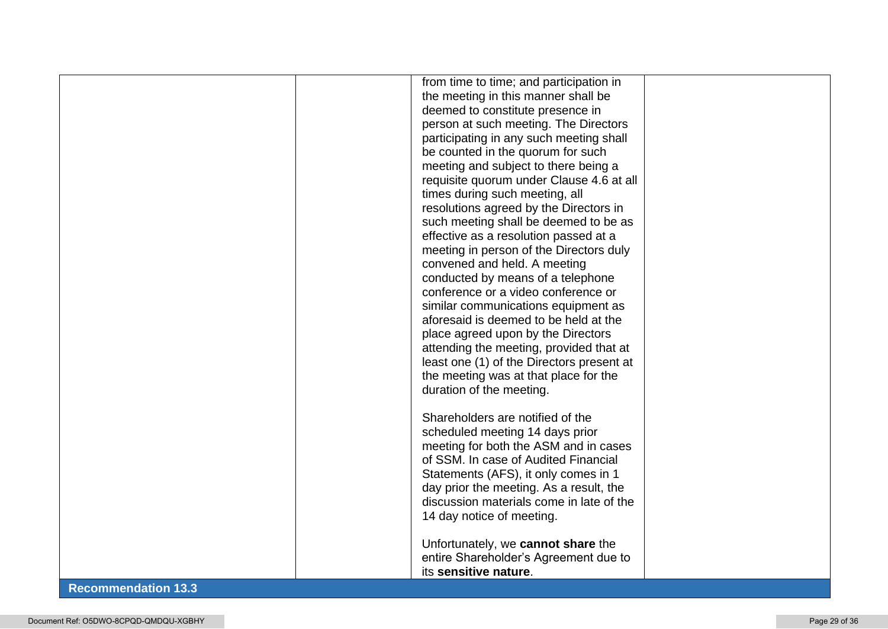|                                   | from time to time; and participation in   |  |
|-----------------------------------|-------------------------------------------|--|
|                                   | the meeting in this manner shall be       |  |
|                                   | deemed to constitute presence in          |  |
|                                   | person at such meeting. The Directors     |  |
|                                   | participating in any such meeting shall   |  |
|                                   | be counted in the quorum for such         |  |
|                                   | meeting and subject to there being a      |  |
|                                   | requisite quorum under Clause 4.6 at all  |  |
|                                   | times during such meeting, all            |  |
|                                   | resolutions agreed by the Directors in    |  |
|                                   | such meeting shall be deemed to be as     |  |
|                                   | effective as a resolution passed at a     |  |
|                                   | meeting in person of the Directors duly   |  |
|                                   | convened and held. A meeting              |  |
|                                   | conducted by means of a telephone         |  |
|                                   | conference or a video conference or       |  |
|                                   | similar communications equipment as       |  |
|                                   | aforesaid is deemed to be held at the     |  |
|                                   | place agreed upon by the Directors        |  |
|                                   | attending the meeting, provided that at   |  |
|                                   | least one (1) of the Directors present at |  |
|                                   | the meeting was at that place for the     |  |
|                                   | duration of the meeting.                  |  |
|                                   |                                           |  |
|                                   | Shareholders are notified of the          |  |
|                                   | scheduled meeting 14 days prior           |  |
|                                   | meeting for both the ASM and in cases     |  |
|                                   | of SSM. In case of Audited Financial      |  |
|                                   | Statements (AFS), it only comes in 1      |  |
|                                   | day prior the meeting. As a result, the   |  |
|                                   | discussion materials come in late of the  |  |
|                                   | 14 day notice of meeting.                 |  |
|                                   |                                           |  |
|                                   | Unfortunately, we cannot share the        |  |
|                                   | entire Shareholder's Agreement due to     |  |
|                                   | its sensitive nature.                     |  |
| <b>Contract Contract Contract</b> |                                           |  |

## **Recommendation 13.3**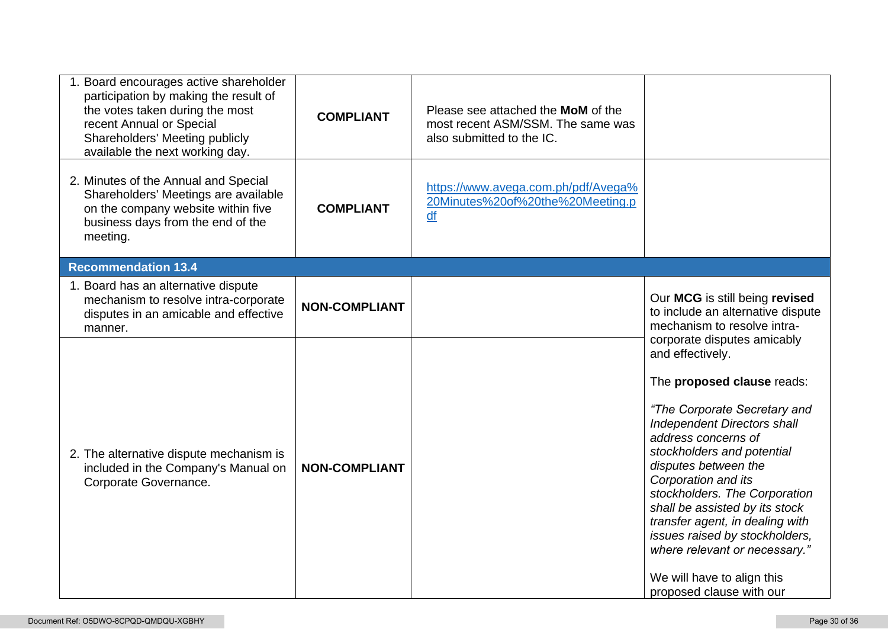| 1. Board encourages active shareholder<br>participation by making the result of<br>the votes taken during the most<br>recent Annual or Special<br>Shareholders' Meeting publicly<br>available the next working day. | <b>COMPLIANT</b>     | Please see attached the MoM of the<br>most recent ASM/SSM. The same was<br>also submitted to the IC. |                                                                                                                                                                                                                                                                                                                                                                                                                                                                                            |
|---------------------------------------------------------------------------------------------------------------------------------------------------------------------------------------------------------------------|----------------------|------------------------------------------------------------------------------------------------------|--------------------------------------------------------------------------------------------------------------------------------------------------------------------------------------------------------------------------------------------------------------------------------------------------------------------------------------------------------------------------------------------------------------------------------------------------------------------------------------------|
| 2. Minutes of the Annual and Special<br>Shareholders' Meetings are available<br>on the company website within five<br>business days from the end of the<br>meeting.                                                 | <b>COMPLIANT</b>     | https://www.avega.com.ph/pdf/Avega%<br>20Minutes%20of%20the%20Meeting.p<br>df                        |                                                                                                                                                                                                                                                                                                                                                                                                                                                                                            |
| <b>Recommendation 13.4</b>                                                                                                                                                                                          |                      |                                                                                                      |                                                                                                                                                                                                                                                                                                                                                                                                                                                                                            |
| 1. Board has an alternative dispute<br>mechanism to resolve intra-corporate<br>disputes in an amicable and effective<br>manner.                                                                                     | <b>NON-COMPLIANT</b> |                                                                                                      | Our MCG is still being revised<br>to include an alternative dispute<br>mechanism to resolve intra-                                                                                                                                                                                                                                                                                                                                                                                         |
| 2. The alternative dispute mechanism is<br>included in the Company's Manual on<br>Corporate Governance.                                                                                                             | <b>NON-COMPLIANT</b> |                                                                                                      | corporate disputes amicably<br>and effectively.<br>The proposed clause reads:<br>"The Corporate Secretary and<br><b>Independent Directors shall</b><br>address concerns of<br>stockholders and potential<br>disputes between the<br>Corporation and its<br>stockholders. The Corporation<br>shall be assisted by its stock<br>transfer agent, in dealing with<br>issues raised by stockholders,<br>where relevant or necessary."<br>We will have to align this<br>proposed clause with our |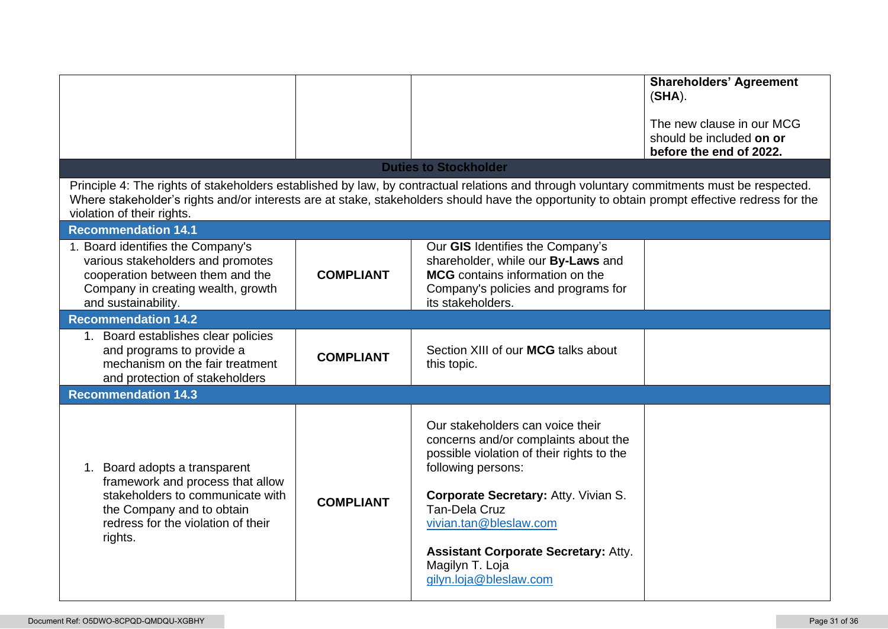|                                                                                                                                                                                     |                  | <b>Duties to Stockholder</b><br>Principle 4: The rights of stakeholders established by law, by contractual relations and through voluntary commitments must be respected.                                                                                                                                                  | <b>Shareholders' Agreement</b><br>$(SHA)$ .<br>The new clause in our MCG<br>should be included on or<br>before the end of 2022. |
|-------------------------------------------------------------------------------------------------------------------------------------------------------------------------------------|------------------|----------------------------------------------------------------------------------------------------------------------------------------------------------------------------------------------------------------------------------------------------------------------------------------------------------------------------|---------------------------------------------------------------------------------------------------------------------------------|
| violation of their rights.                                                                                                                                                          |                  | Where stakeholder's rights and/or interests are at stake, stakeholders should have the opportunity to obtain prompt effective redress for the                                                                                                                                                                              |                                                                                                                                 |
| <b>Recommendation 14.1</b>                                                                                                                                                          |                  |                                                                                                                                                                                                                                                                                                                            |                                                                                                                                 |
| 1. Board identifies the Company's<br>various stakeholders and promotes<br>cooperation between them and the<br>Company in creating wealth, growth<br>and sustainability.             | <b>COMPLIANT</b> | Our GIS Identifies the Company's<br>shareholder, while our By-Laws and<br>MCG contains information on the<br>Company's policies and programs for<br>its stakeholders.                                                                                                                                                      |                                                                                                                                 |
| <b>Recommendation 14.2</b>                                                                                                                                                          |                  |                                                                                                                                                                                                                                                                                                                            |                                                                                                                                 |
| 1. Board establishes clear policies<br>and programs to provide a<br>mechanism on the fair treatment<br>and protection of stakeholders                                               | <b>COMPLIANT</b> | Section XIII of our MCG talks about<br>this topic.                                                                                                                                                                                                                                                                         |                                                                                                                                 |
| <b>Recommendation 14.3</b>                                                                                                                                                          |                  |                                                                                                                                                                                                                                                                                                                            |                                                                                                                                 |
| 1. Board adopts a transparent<br>framework and process that allow<br>stakeholders to communicate with<br>the Company and to obtain<br>redress for the violation of their<br>rights. | <b>COMPLIANT</b> | Our stakeholders can voice their<br>concerns and/or complaints about the<br>possible violation of their rights to the<br>following persons:<br>Corporate Secretary: Atty. Vivian S.<br>Tan-Dela Cruz<br>vivian.tan@bleslaw.com<br><b>Assistant Corporate Secretary: Atty.</b><br>Magilyn T. Loja<br>gilyn.loja@bleslaw.com |                                                                                                                                 |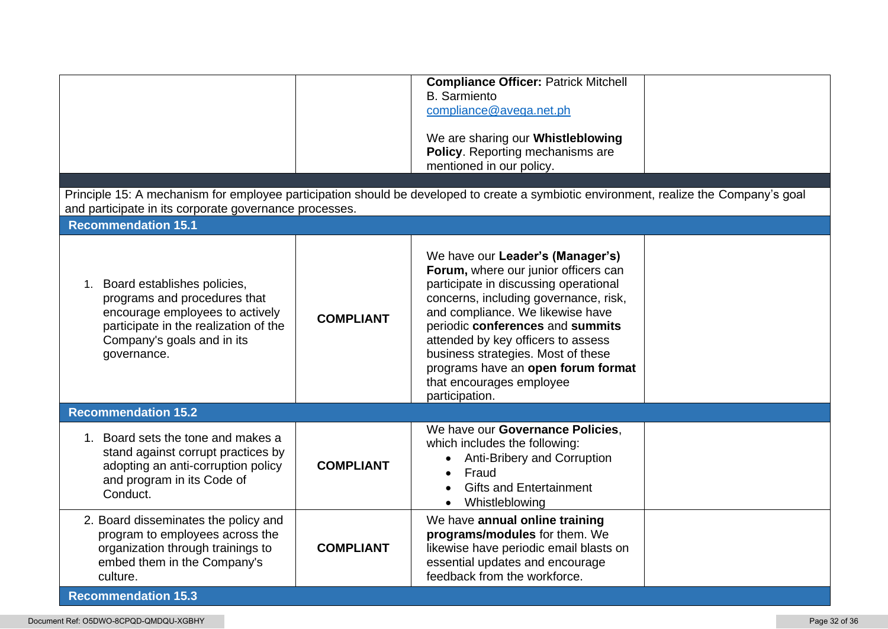| and participate in its corporate governance processes.<br><b>Recommendation 15.1</b>                                                                                                    |                  | <b>Compliance Officer: Patrick Mitchell</b><br><b>B.</b> Sarmiento<br>compliance@avega.net.ph<br>We are sharing our Whistleblowing<br>Policy. Reporting mechanisms are<br>mentioned in our policy.<br>Principle 15: A mechanism for employee participation should be developed to create a symbiotic environment, realize the Company's goal                                                       |  |
|-----------------------------------------------------------------------------------------------------------------------------------------------------------------------------------------|------------------|----------------------------------------------------------------------------------------------------------------------------------------------------------------------------------------------------------------------------------------------------------------------------------------------------------------------------------------------------------------------------------------------------|--|
|                                                                                                                                                                                         |                  |                                                                                                                                                                                                                                                                                                                                                                                                    |  |
| 1. Board establishes policies,<br>programs and procedures that<br>encourage employees to actively<br>participate in the realization of the<br>Company's goals and in its<br>governance. | <b>COMPLIANT</b> | We have our Leader's (Manager's)<br>Forum, where our junior officers can<br>participate in discussing operational<br>concerns, including governance, risk,<br>and compliance. We likewise have<br>periodic conferences and summits<br>attended by key officers to assess<br>business strategies. Most of these<br>programs have an open forum format<br>that encourages employee<br>participation. |  |
| <b>Recommendation 15.2</b>                                                                                                                                                              |                  |                                                                                                                                                                                                                                                                                                                                                                                                    |  |
| 1. Board sets the tone and makes a<br>stand against corrupt practices by<br>adopting an anti-corruption policy<br>and program in its Code of<br>Conduct.                                | <b>COMPLIANT</b> | We have our Governance Policies,<br>which includes the following:<br>Anti-Bribery and Corruption<br>Fraud<br>$\bullet$<br><b>Gifts and Entertainment</b><br>Whistleblowing<br>$\bullet$                                                                                                                                                                                                            |  |
| 2. Board disseminates the policy and<br>program to employees across the<br>organization through trainings to<br>embed them in the Company's<br>culture.                                 | <b>COMPLIANT</b> | We have annual online training<br>programs/modules for them. We<br>likewise have periodic email blasts on<br>essential updates and encourage<br>feedback from the workforce.                                                                                                                                                                                                                       |  |
| <b>Recommendation 15.3</b>                                                                                                                                                              |                  |                                                                                                                                                                                                                                                                                                                                                                                                    |  |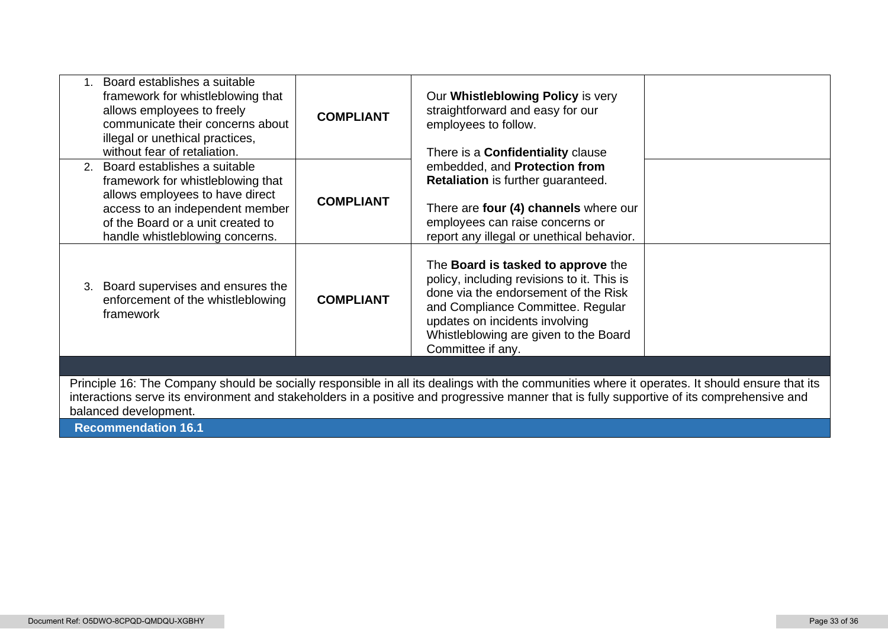| Board establishes a suitable<br>framework for whistleblowing that<br>allows employees to freely<br>communicate their concerns about<br>illegal or unethical practices,<br>without fear of retaliation.             | <b>COMPLIANT</b> | Our Whistleblowing Policy is very<br>straightforward and easy for our<br>employees to follow.<br>There is a <b>Confidentiality</b> clause                                                                                                                                                    |  |
|--------------------------------------------------------------------------------------------------------------------------------------------------------------------------------------------------------------------|------------------|----------------------------------------------------------------------------------------------------------------------------------------------------------------------------------------------------------------------------------------------------------------------------------------------|--|
| 2. Board establishes a suitable<br>framework for whistleblowing that<br>allows employees to have direct<br>access to an independent member<br>of the Board or a unit created to<br>handle whistleblowing concerns. | <b>COMPLIANT</b> | embedded, and Protection from<br>Retaliation is further guaranteed.<br>There are four (4) channels where our<br>employees can raise concerns or<br>report any illegal or unethical behavior.                                                                                                 |  |
| Board supervises and ensures the<br>3.<br>enforcement of the whistleblowing<br>framework                                                                                                                           | <b>COMPLIANT</b> | The <b>Board is tasked to approve</b> the<br>policy, including revisions to it. This is<br>done via the endorsement of the Risk<br>and Compliance Committee. Regular<br>updates on incidents involving<br>Whistleblowing are given to the Board<br>Committee if any.                         |  |
| balanced development.<br><b>Recommendation 16.1</b>                                                                                                                                                                |                  | Principle 16: The Company should be socially responsible in all its dealings with the communities where it operates. It should ensure that its<br>interactions serve its environment and stakeholders in a positive and progressive manner that is fully supportive of its comprehensive and |  |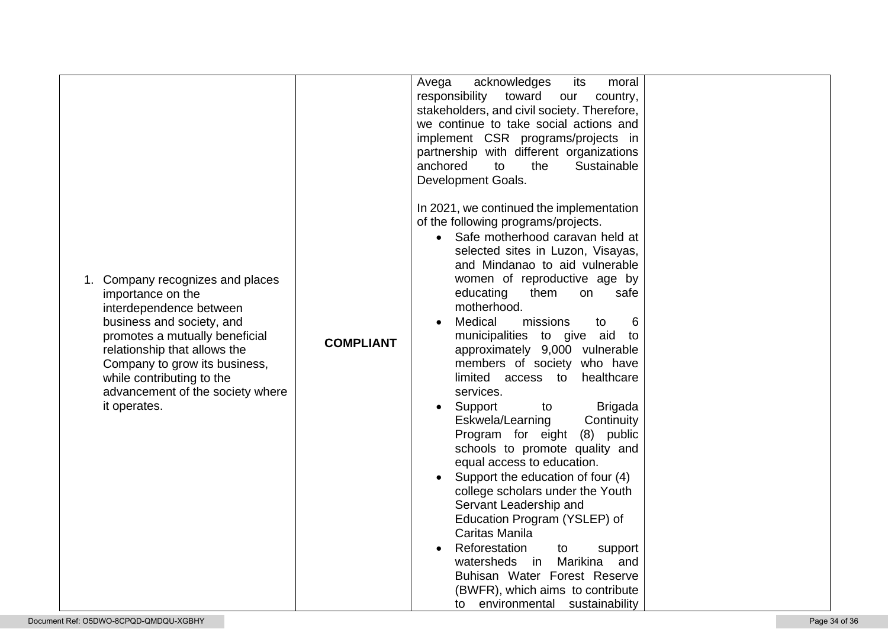|                                                                                                                                                                                                                                                                                                      |                  | Avega<br>acknowledges<br>its<br>moral<br>responsibility toward<br>country,<br>our<br>stakeholders, and civil society. Therefore,<br>we continue to take social actions and<br>implement CSR programs/projects in<br>partnership with different organizations<br>anchored<br>to<br>the<br>Sustainable<br>Development Goals.<br>In 2021, we continued the implementation<br>of the following programs/projects.<br>Safe motherhood caravan held at<br>selected sites in Luzon, Visayas,        |  |
|------------------------------------------------------------------------------------------------------------------------------------------------------------------------------------------------------------------------------------------------------------------------------------------------------|------------------|----------------------------------------------------------------------------------------------------------------------------------------------------------------------------------------------------------------------------------------------------------------------------------------------------------------------------------------------------------------------------------------------------------------------------------------------------------------------------------------------|--|
| Company recognizes and places<br>1.<br>importance on the<br>interdependence between<br>business and society, and<br>promotes a mutually beneficial<br>relationship that allows the<br>Company to grow its business,<br>while contributing to the<br>advancement of the society where<br>it operates. | <b>COMPLIANT</b> | and Mindanao to aid vulnerable<br>women of reproductive age by<br>educating<br>them<br>safe<br>on<br>motherhood.<br>Medical<br>6<br>missions<br>to<br>municipalities to give aid<br>to<br>approximately 9,000 vulnerable<br>members of society who have<br>limited access to<br>healthcare<br>services.<br>Support<br><b>Brigada</b><br>to<br>$\bullet$<br>Eskwela/Learning<br>Continuity<br>Program for eight<br>(8) public<br>schools to promote quality and<br>equal access to education. |  |
|                                                                                                                                                                                                                                                                                                      |                  | Support the education of four (4)<br>college scholars under the Youth<br>Servant Leadership and<br>Education Program (YSLEP) of<br>Caritas Manila<br>Reforestation<br>support<br>to<br>Marikina<br>watersheds in<br>and<br>Buhisan Water Forest Reserve<br>(BWFR), which aims to contribute<br>to environmental sustainability                                                                                                                                                               |  |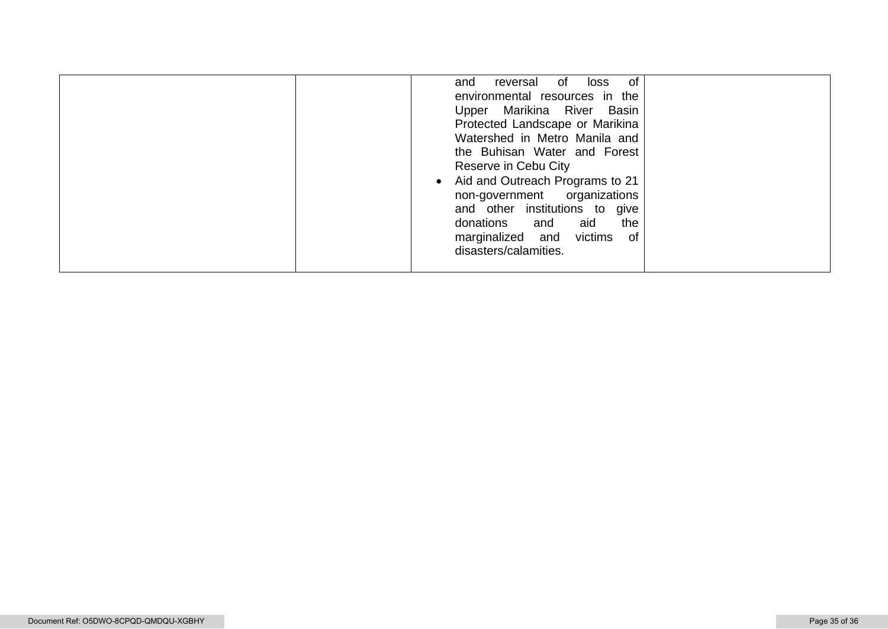| $\bullet$ | of<br>reversal of loss<br>and<br>environmental resources in the<br>Upper Marikina River Basin<br>Protected Landscape or Marikina<br>Watershed in Metro Manila and<br>the Buhisan Water and Forest<br>Reserve in Cebu City<br>Aid and Outreach Programs to 21<br>non-government organizations<br>and other institutions to give<br>donations<br>the<br>aid<br>and<br>marginalized and victims<br>of<br>disasters/calamities. |
|-----------|-----------------------------------------------------------------------------------------------------------------------------------------------------------------------------------------------------------------------------------------------------------------------------------------------------------------------------------------------------------------------------------------------------------------------------|
|-----------|-----------------------------------------------------------------------------------------------------------------------------------------------------------------------------------------------------------------------------------------------------------------------------------------------------------------------------------------------------------------------------------------------------------------------------|